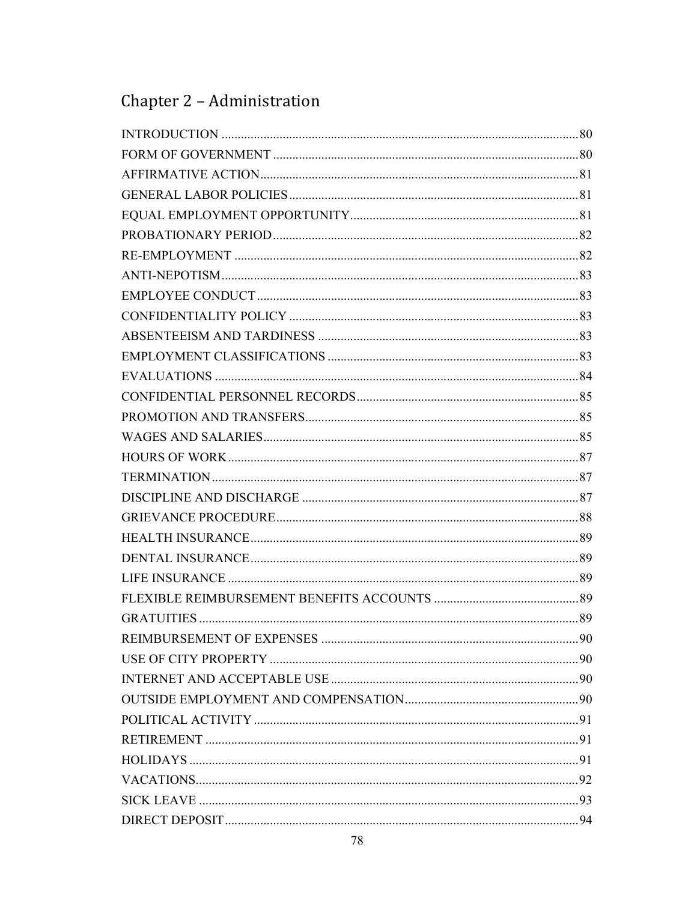# Chapter 2 - Administration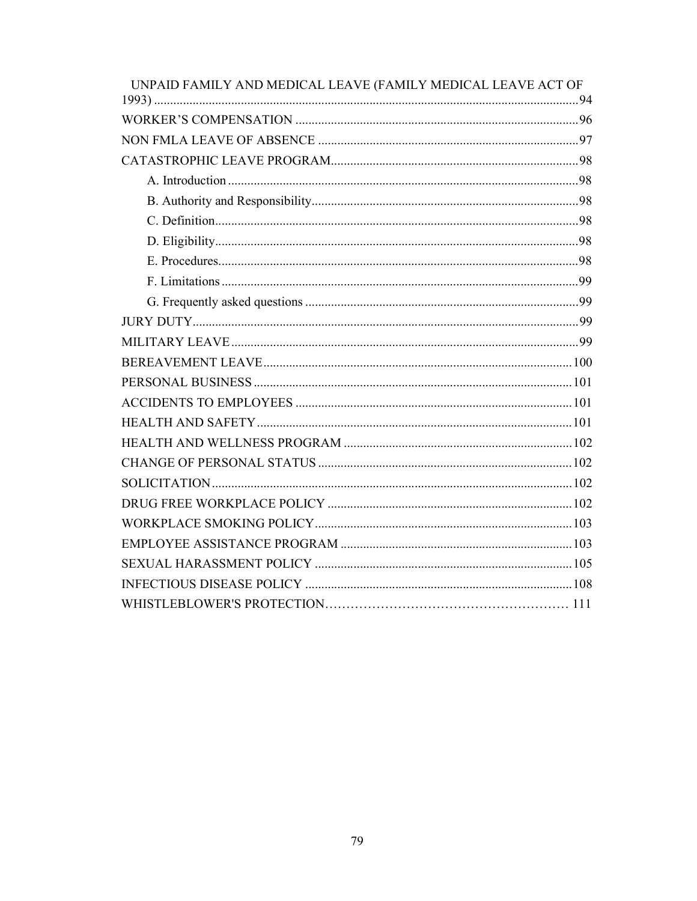| UNPAID FAMILY AND MEDICAL LEAVE (FAMILY MEDICAL LEAVE ACT OF |  |
|--------------------------------------------------------------|--|
|                                                              |  |
|                                                              |  |
|                                                              |  |
|                                                              |  |
|                                                              |  |
|                                                              |  |
|                                                              |  |
|                                                              |  |
|                                                              |  |
|                                                              |  |
|                                                              |  |
|                                                              |  |
|                                                              |  |
|                                                              |  |
|                                                              |  |
|                                                              |  |
|                                                              |  |
|                                                              |  |
|                                                              |  |
|                                                              |  |
|                                                              |  |
|                                                              |  |
|                                                              |  |
|                                                              |  |
|                                                              |  |
|                                                              |  |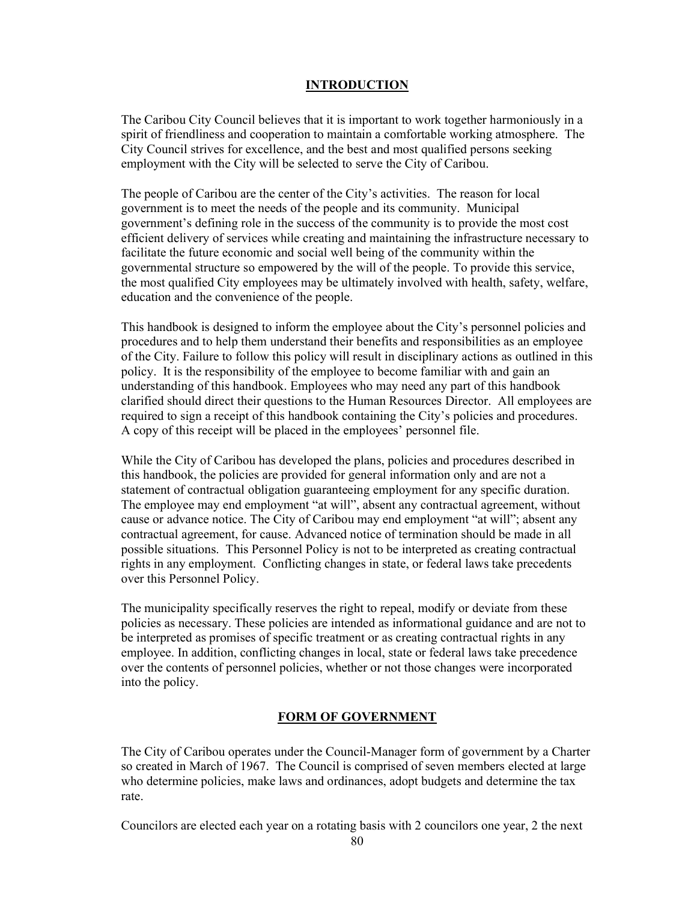## INTRODUCTION

The Caribou City Council believes that it is important to work together harmoniously in a spirit of friendliness and cooperation to maintain a comfortable working atmosphere. The City Council strives for excellence, and the best and most qualified persons seeking employment with the City will be selected to serve the City of Caribou.

The people of Caribou are the center of the City's activities. The reason for local government is to meet the needs of the people and its community. Municipal government's defining role in the success of the community is to provide the most cost efficient delivery of services while creating and maintaining the infrastructure necessary to facilitate the future economic and social well being of the community within the governmental structure so empowered by the will of the people. To provide this service, the most qualified City employees may be ultimately involved with health, safety, welfare, education and the convenience of the people.

This handbook is designed to inform the employee about the City's personnel policies and procedures and to help them understand their benefits and responsibilities as an employee of the City. Failure to follow this policy will result in disciplinary actions as outlined in this policy. It is the responsibility of the employee to become familiar with and gain an understanding of this handbook. Employees who may need any part of this handbook clarified should direct their questions to the Human Resources Director. All employees are required to sign a receipt of this handbook containing the City's policies and procedures. A copy of this receipt will be placed in the employees' personnel file.

While the City of Caribou has developed the plans, policies and procedures described in this handbook, the policies are provided for general information only and are not a statement of contractual obligation guaranteeing employment for any specific duration. The employee may end employment "at will", absent any contractual agreement, without cause or advance notice. The City of Caribou may end employment "at will"; absent any contractual agreement, for cause. Advanced notice of termination should be made in all possible situations. This Personnel Policy is not to be interpreted as creating contractual rights in any employment. Conflicting changes in state, or federal laws take precedents over this Personnel Policy.

The municipality specifically reserves the right to repeal, modify or deviate from these policies as necessary. These policies are intended as informational guidance and are not to be interpreted as promises of specific treatment or as creating contractual rights in any employee. In addition, conflicting changes in local, state or federal laws take precedence over the contents of personnel policies, whether or not those changes were incorporated into the policy.

## FORM OF GOVERNMENT

The City of Caribou operates under the Council-Manager form of government by a Charter so created in March of 1967. The Council is comprised of seven members elected at large who determine policies, make laws and ordinances, adopt budgets and determine the tax rate.

Councilors are elected each year on a rotating basis with 2 councilors one year, 2 the next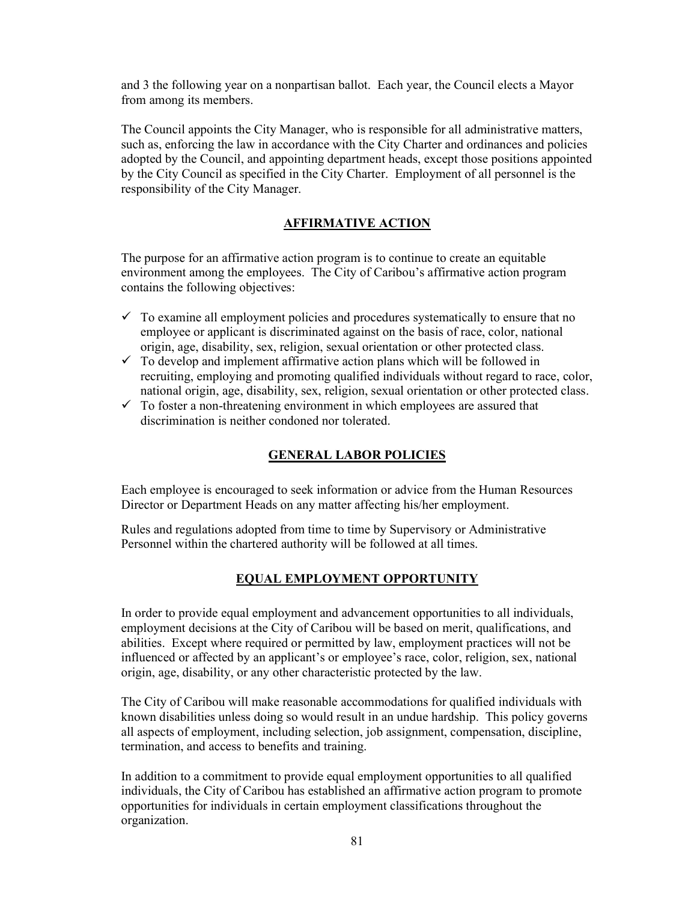and 3 the following year on a nonpartisan ballot. Each year, the Council elects a Mayor from among its members.

The Council appoints the City Manager, who is responsible for all administrative matters, such as, enforcing the law in accordance with the City Charter and ordinances and policies adopted by the Council, and appointing department heads, except those positions appointed by the City Council as specified in the City Charter. Employment of all personnel is the responsibility of the City Manager.

## AFFIRMATIVE ACTION

The purpose for an affirmative action program is to continue to create an equitable environment among the employees. The City of Caribou's affirmative action program contains the following objectives:

- $\checkmark$  To examine all employment policies and procedures systematically to ensure that no employee or applicant is discriminated against on the basis of race, color, national origin, age, disability, sex, religion, sexual orientation or other protected class.
- $\checkmark$  To develop and implement affirmative action plans which will be followed in recruiting, employing and promoting qualified individuals without regard to race, color, national origin, age, disability, sex, religion, sexual orientation or other protected class.
- $\checkmark$  To foster a non-threatening environment in which employees are assured that discrimination is neither condoned nor tolerated.

## GENERAL LABOR POLICIES

Each employee is encouraged to seek information or advice from the Human Resources Director or Department Heads on any matter affecting his/her employment.

Rules and regulations adopted from time to time by Supervisory or Administrative Personnel within the chartered authority will be followed at all times.

## EQUAL EMPLOYMENT OPPORTUNITY

In order to provide equal employment and advancement opportunities to all individuals, employment decisions at the City of Caribou will be based on merit, qualifications, and abilities. Except where required or permitted by law, employment practices will not be influenced or affected by an applicant's or employee's race, color, religion, sex, national origin, age, disability, or any other characteristic protected by the law.

The City of Caribou will make reasonable accommodations for qualified individuals with known disabilities unless doing so would result in an undue hardship. This policy governs all aspects of employment, including selection, job assignment, compensation, discipline, termination, and access to benefits and training.

In addition to a commitment to provide equal employment opportunities to all qualified individuals, the City of Caribou has established an affirmative action program to promote opportunities for individuals in certain employment classifications throughout the organization.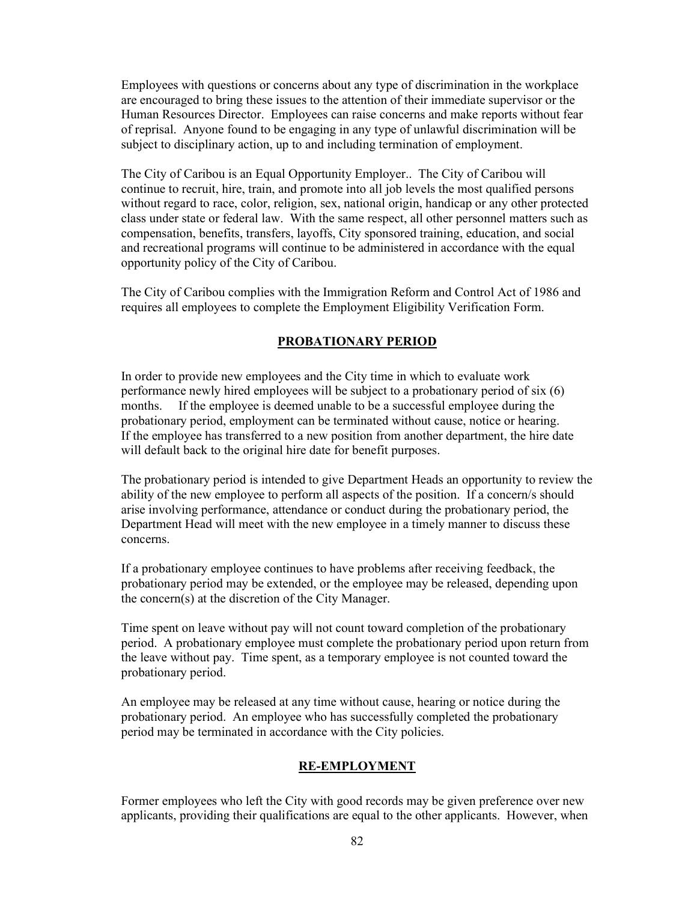Employees with questions or concerns about any type of discrimination in the workplace are encouraged to bring these issues to the attention of their immediate supervisor or the Human Resources Director. Employees can raise concerns and make reports without fear of reprisal. Anyone found to be engaging in any type of unlawful discrimination will be subject to disciplinary action, up to and including termination of employment.

The City of Caribou is an Equal Opportunity Employer.. The City of Caribou will continue to recruit, hire, train, and promote into all job levels the most qualified persons without regard to race, color, religion, sex, national origin, handicap or any other protected class under state or federal law. With the same respect, all other personnel matters such as compensation, benefits, transfers, layoffs, City sponsored training, education, and social and recreational programs will continue to be administered in accordance with the equal opportunity policy of the City of Caribou.

The City of Caribou complies with the Immigration Reform and Control Act of 1986 and requires all employees to complete the Employment Eligibility Verification Form.

## PROBATIONARY PERIOD

In order to provide new employees and the City time in which to evaluate work performance newly hired employees will be subject to a probationary period of six (6) months. If the employee is deemed unable to be a successful employee during the probationary period, employment can be terminated without cause, notice or hearing. If the employee has transferred to a new position from another department, the hire date will default back to the original hire date for benefit purposes.

The probationary period is intended to give Department Heads an opportunity to review the ability of the new employee to perform all aspects of the position. If a concern/s should arise involving performance, attendance or conduct during the probationary period, the Department Head will meet with the new employee in a timely manner to discuss these concerns.

If a probationary employee continues to have problems after receiving feedback, the probationary period may be extended, or the employee may be released, depending upon the concern(s) at the discretion of the City Manager.

Time spent on leave without pay will not count toward completion of the probationary period. A probationary employee must complete the probationary period upon return from the leave without pay. Time spent, as a temporary employee is not counted toward the probationary period.

An employee may be released at any time without cause, hearing or notice during the probationary period. An employee who has successfully completed the probationary period may be terminated in accordance with the City policies.

#### RE-EMPLOYMENT

Former employees who left the City with good records may be given preference over new applicants, providing their qualifications are equal to the other applicants. However, when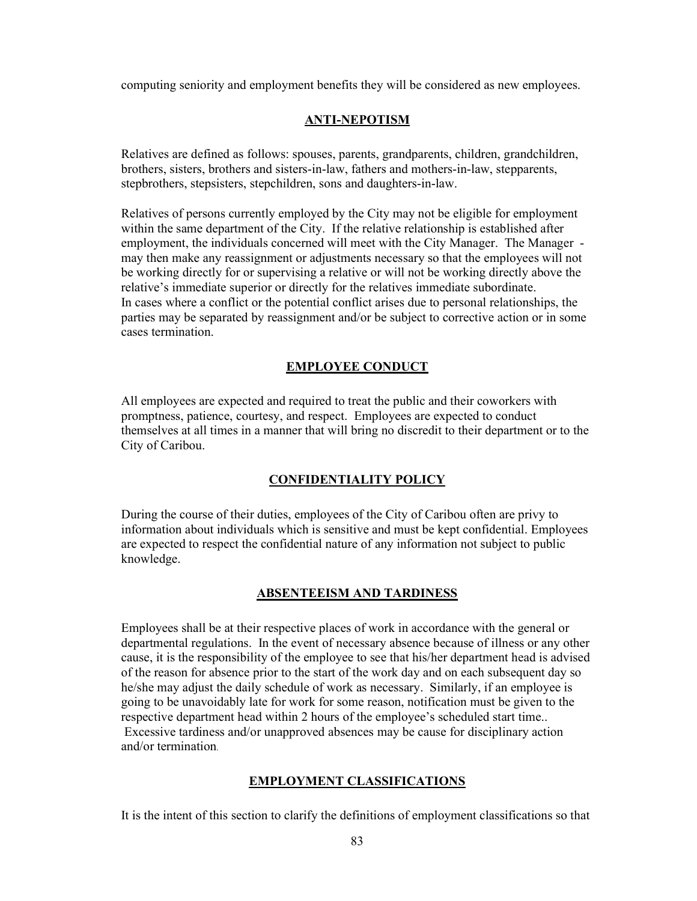computing seniority and employment benefits they will be considered as new employees.

## ANTI-NEPOTISM

Relatives are defined as follows: spouses, parents, grandparents, children, grandchildren, brothers, sisters, brothers and sisters-in-law, fathers and mothers-in-law, stepparents, stepbrothers, stepsisters, stepchildren, sons and daughters-in-law.

Relatives of persons currently employed by the City may not be eligible for employment within the same department of the City. If the relative relationship is established after employment, the individuals concerned will meet with the City Manager. The Manager may then make any reassignment or adjustments necessary so that the employees will not be working directly for or supervising a relative or will not be working directly above the relative's immediate superior or directly for the relatives immediate subordinate. In cases where a conflict or the potential conflict arises due to personal relationships, the parties may be separated by reassignment and/or be subject to corrective action or in some cases termination.

## EMPLOYEE CONDUCT

All employees are expected and required to treat the public and their coworkers with promptness, patience, courtesy, and respect. Employees are expected to conduct themselves at all times in a manner that will bring no discredit to their department or to the City of Caribou.

## CONFIDENTIALITY POLICY

During the course of their duties, employees of the City of Caribou often are privy to information about individuals which is sensitive and must be kept confidential. Employees are expected to respect the confidential nature of any information not subject to public knowledge.

## ABSENTEEISM AND TARDINESS

Employees shall be at their respective places of work in accordance with the general or departmental regulations. In the event of necessary absence because of illness or any other cause, it is the responsibility of the employee to see that his/her department head is advised of the reason for absence prior to the start of the work day and on each subsequent day so he/she may adjust the daily schedule of work as necessary. Similarly, if an employee is going to be unavoidably late for work for some reason, notification must be given to the respective department head within 2 hours of the employee's scheduled start time.. Excessive tardiness and/or unapproved absences may be cause for disciplinary action and/or termination.

## EMPLOYMENT CLASSIFICATIONS

It is the intent of this section to clarify the definitions of employment classifications so that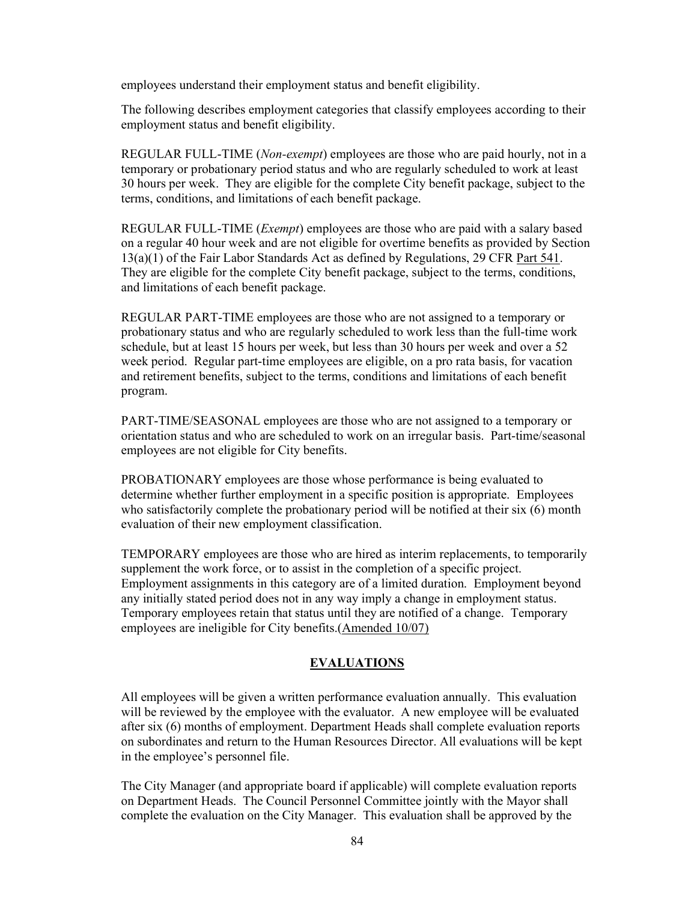employees understand their employment status and benefit eligibility.

The following describes employment categories that classify employees according to their employment status and benefit eligibility.

REGULAR FULL-TIME (Non-exempt) employees are those who are paid hourly, not in a temporary or probationary period status and who are regularly scheduled to work at least 30 hours per week. They are eligible for the complete City benefit package, subject to the terms, conditions, and limitations of each benefit package.

REGULAR FULL-TIME (Exempt) employees are those who are paid with a salary based on a regular 40 hour week and are not eligible for overtime benefits as provided by Section 13(a)(1) of the Fair Labor Standards Act as defined by Regulations, 29 CFR Part 541. They are eligible for the complete City benefit package, subject to the terms, conditions, and limitations of each benefit package.

REGULAR PART-TIME employees are those who are not assigned to a temporary or probationary status and who are regularly scheduled to work less than the full-time work schedule, but at least 15 hours per week, but less than 30 hours per week and over a 52 week period. Regular part-time employees are eligible, on a pro rata basis, for vacation and retirement benefits, subject to the terms, conditions and limitations of each benefit program.

PART-TIME/SEASONAL employees are those who are not assigned to a temporary or orientation status and who are scheduled to work on an irregular basis. Part-time/seasonal employees are not eligible for City benefits.

PROBATIONARY employees are those whose performance is being evaluated to determine whether further employment in a specific position is appropriate. Employees who satisfactorily complete the probationary period will be notified at their six (6) month evaluation of their new employment classification.

TEMPORARY employees are those who are hired as interim replacements, to temporarily supplement the work force, or to assist in the completion of a specific project. Employment assignments in this category are of a limited duration. Employment beyond any initially stated period does not in any way imply a change in employment status. Temporary employees retain that status until they are notified of a change. Temporary employees are ineligible for City benefits.(Amended 10/07)

# EVALUATIONS

All employees will be given a written performance evaluation annually. This evaluation will be reviewed by the employee with the evaluator. A new employee will be evaluated after six (6) months of employment. Department Heads shall complete evaluation reports on subordinates and return to the Human Resources Director. All evaluations will be kept in the employee's personnel file.

The City Manager (and appropriate board if applicable) will complete evaluation reports on Department Heads. The Council Personnel Committee jointly with the Mayor shall complete the evaluation on the City Manager. This evaluation shall be approved by the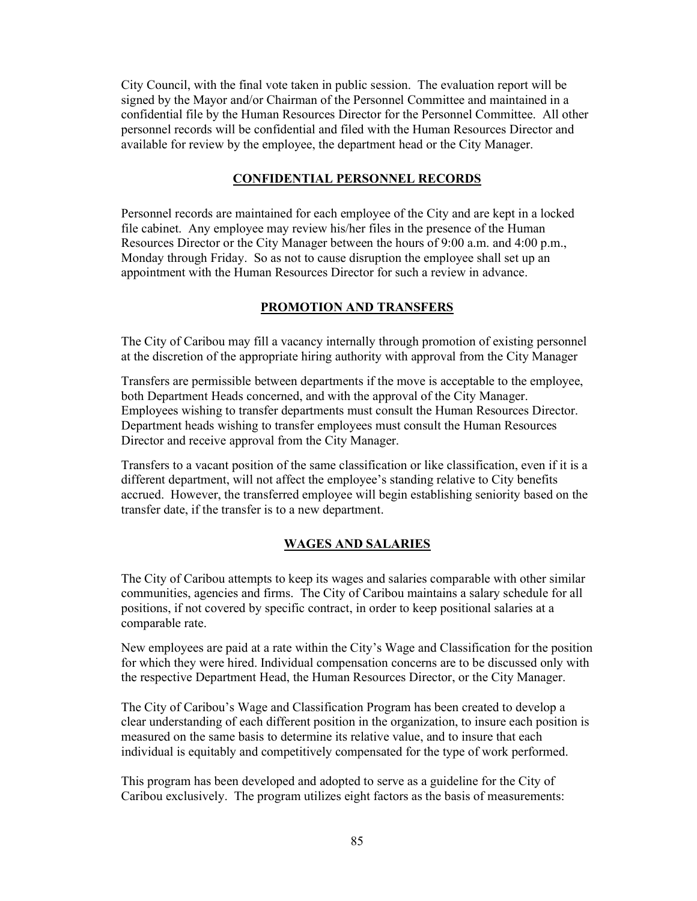City Council, with the final vote taken in public session. The evaluation report will be signed by the Mayor and/or Chairman of the Personnel Committee and maintained in a confidential file by the Human Resources Director for the Personnel Committee. All other personnel records will be confidential and filed with the Human Resources Director and available for review by the employee, the department head or the City Manager.

## CONFIDENTIAL PERSONNEL RECORDS

Personnel records are maintained for each employee of the City and are kept in a locked file cabinet. Any employee may review his/her files in the presence of the Human Resources Director or the City Manager between the hours of 9:00 a.m. and 4:00 p.m., Monday through Friday. So as not to cause disruption the employee shall set up an appointment with the Human Resources Director for such a review in advance.

## PROMOTION AND TRANSFERS

The City of Caribou may fill a vacancy internally through promotion of existing personnel at the discretion of the appropriate hiring authority with approval from the City Manager

Transfers are permissible between departments if the move is acceptable to the employee, both Department Heads concerned, and with the approval of the City Manager. Employees wishing to transfer departments must consult the Human Resources Director. Department heads wishing to transfer employees must consult the Human Resources Director and receive approval from the City Manager.

Transfers to a vacant position of the same classification or like classification, even if it is a different department, will not affect the employee's standing relative to City benefits accrued. However, the transferred employee will begin establishing seniority based on the transfer date, if the transfer is to a new department.

## WAGES AND SALARIES

The City of Caribou attempts to keep its wages and salaries comparable with other similar communities, agencies and firms. The City of Caribou maintains a salary schedule for all positions, if not covered by specific contract, in order to keep positional salaries at a comparable rate.

New employees are paid at a rate within the City's Wage and Classification for the position for which they were hired. Individual compensation concerns are to be discussed only with the respective Department Head, the Human Resources Director, or the City Manager.

The City of Caribou's Wage and Classification Program has been created to develop a clear understanding of each different position in the organization, to insure each position is measured on the same basis to determine its relative value, and to insure that each individual is equitably and competitively compensated for the type of work performed.

This program has been developed and adopted to serve as a guideline for the City of Caribou exclusively. The program utilizes eight factors as the basis of measurements: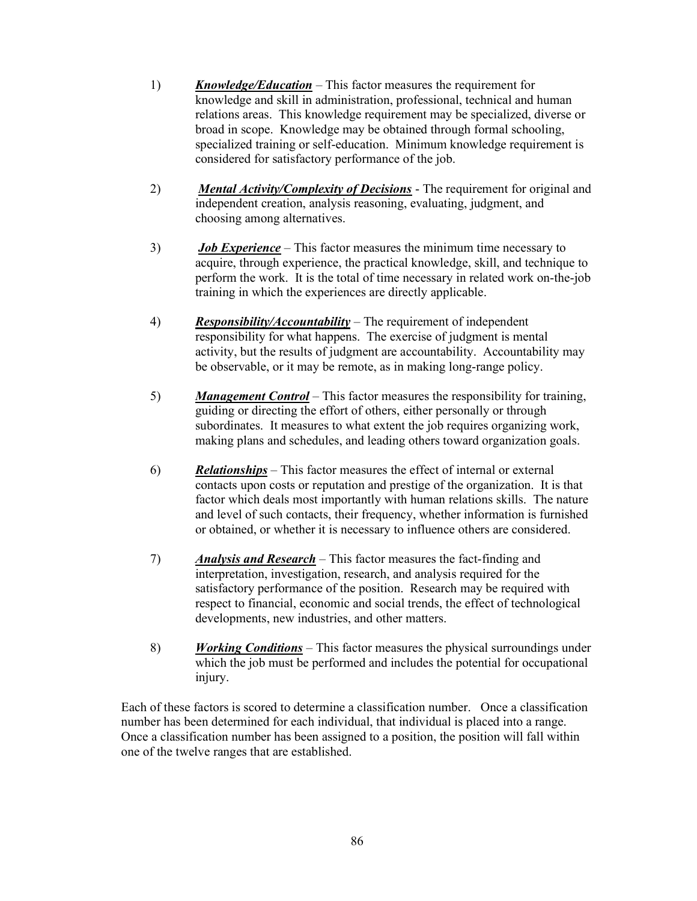- 1) Knowledge/Education This factor measures the requirement for knowledge and skill in administration, professional, technical and human relations areas. This knowledge requirement may be specialized, diverse or broad in scope. Knowledge may be obtained through formal schooling, specialized training or self-education. Minimum knowledge requirement is considered for satisfactory performance of the job.
- 2) **Mental Activity/Complexity of Decisions** The requirement for original and independent creation, analysis reasoning, evaluating, judgment, and choosing among alternatives.
- $3)$  Job Experience This factor measures the minimum time necessary to acquire, through experience, the practical knowledge, skill, and technique to perform the work. It is the total of time necessary in related work on-the-job training in which the experiences are directly applicable.
- 4) Responsibility/Accountability The requirement of independent responsibility for what happens. The exercise of judgment is mental activity, but the results of judgment are accountability. Accountability may be observable, or it may be remote, as in making long-range policy.
- 5) Management Control This factor measures the responsibility for training, guiding or directing the effort of others, either personally or through subordinates. It measures to what extent the job requires organizing work, making plans and schedules, and leading others toward organization goals.
- 6) Relationships This factor measures the effect of internal or external contacts upon costs or reputation and prestige of the organization. It is that factor which deals most importantly with human relations skills. The nature and level of such contacts, their frequency, whether information is furnished or obtained, or whether it is necessary to influence others are considered.
- 7) Analysis and Research This factor measures the fact-finding and interpretation, investigation, research, and analysis required for the satisfactory performance of the position. Research may be required with respect to financial, economic and social trends, the effect of technological developments, new industries, and other matters.
- 8) *Working Conditions* This factor measures the physical surroundings under which the job must be performed and includes the potential for occupational injury.

Each of these factors is scored to determine a classification number. Once a classification number has been determined for each individual, that individual is placed into a range. Once a classification number has been assigned to a position, the position will fall within one of the twelve ranges that are established.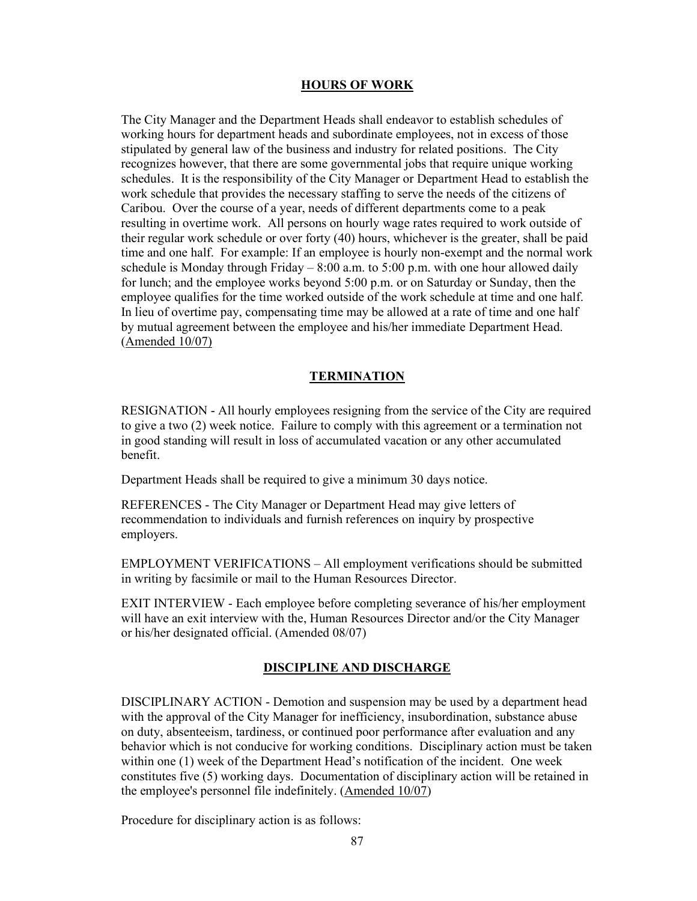#### HOURS OF WORK

The City Manager and the Department Heads shall endeavor to establish schedules of working hours for department heads and subordinate employees, not in excess of those stipulated by general law of the business and industry for related positions. The City recognizes however, that there are some governmental jobs that require unique working schedules. It is the responsibility of the City Manager or Department Head to establish the work schedule that provides the necessary staffing to serve the needs of the citizens of Caribou. Over the course of a year, needs of different departments come to a peak resulting in overtime work. All persons on hourly wage rates required to work outside of their regular work schedule or over forty (40) hours, whichever is the greater, shall be paid time and one half. For example: If an employee is hourly non-exempt and the normal work schedule is Monday through Friday – 8:00 a.m. to 5:00 p.m. with one hour allowed daily for lunch; and the employee works beyond 5:00 p.m. or on Saturday or Sunday, then the employee qualifies for the time worked outside of the work schedule at time and one half. In lieu of overtime pay, compensating time may be allowed at a rate of time and one half by mutual agreement between the employee and his/her immediate Department Head. (Amended 10/07)

#### **TERMINATION**

RESIGNATION - All hourly employees resigning from the service of the City are required to give a two (2) week notice. Failure to comply with this agreement or a termination not in good standing will result in loss of accumulated vacation or any other accumulated benefit.

Department Heads shall be required to give a minimum 30 days notice.

REFERENCES - The City Manager or Department Head may give letters of recommendation to individuals and furnish references on inquiry by prospective employers.

EMPLOYMENT VERIFICATIONS – All employment verifications should be submitted in writing by facsimile or mail to the Human Resources Director.

EXIT INTERVIEW - Each employee before completing severance of his/her employment will have an exit interview with the, Human Resources Director and/or the City Manager or his/her designated official. (Amended 08/07)

#### DISCIPLINE AND DISCHARGE

DISCIPLINARY ACTION - Demotion and suspension may be used by a department head with the approval of the City Manager for inefficiency, insubordination, substance abuse on duty, absenteeism, tardiness, or continued poor performance after evaluation and any behavior which is not conducive for working conditions. Disciplinary action must be taken within one (1) week of the Department Head's notification of the incident. One week constitutes five (5) working days. Documentation of disciplinary action will be retained in the employee's personnel file indefinitely. (Amended 10/07)

Procedure for disciplinary action is as follows: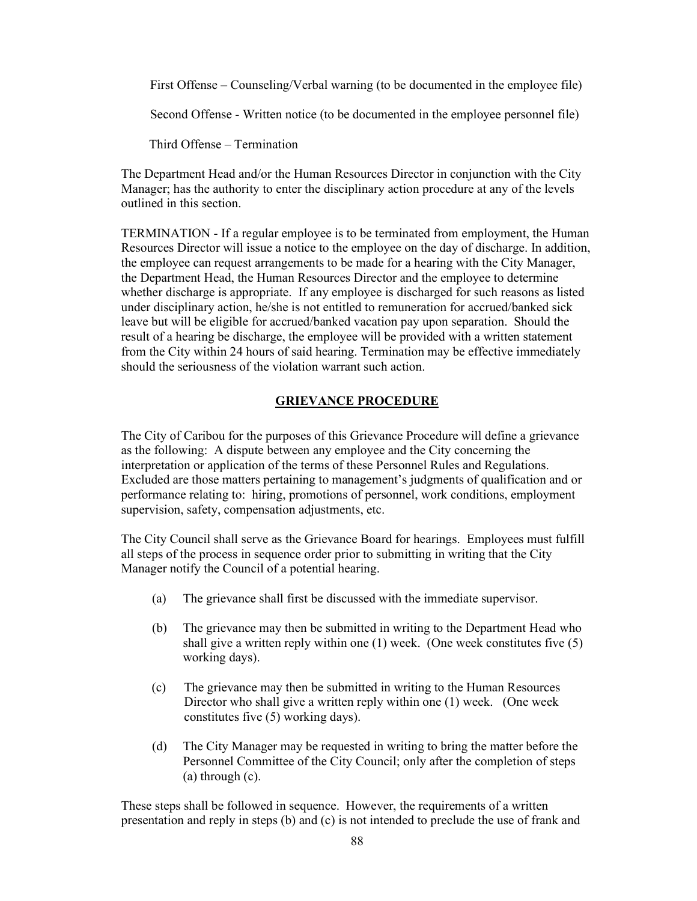First Offense – Counseling/Verbal warning (to be documented in the employee file)

Second Offense - Written notice (to be documented in the employee personnel file)

Third Offense – Termination

The Department Head and/or the Human Resources Director in conjunction with the City Manager; has the authority to enter the disciplinary action procedure at any of the levels outlined in this section.

TERMINATION - If a regular employee is to be terminated from employment, the Human Resources Director will issue a notice to the employee on the day of discharge. In addition, the employee can request arrangements to be made for a hearing with the City Manager, the Department Head, the Human Resources Director and the employee to determine whether discharge is appropriate. If any employee is discharged for such reasons as listed under disciplinary action, he/she is not entitled to remuneration for accrued/banked sick leave but will be eligible for accrued/banked vacation pay upon separation. Should the result of a hearing be discharge, the employee will be provided with a written statement from the City within 24 hours of said hearing. Termination may be effective immediately should the seriousness of the violation warrant such action.

## GRIEVANCE PROCEDURE

The City of Caribou for the purposes of this Grievance Procedure will define a grievance as the following: A dispute between any employee and the City concerning the interpretation or application of the terms of these Personnel Rules and Regulations. Excluded are those matters pertaining to management's judgments of qualification and or performance relating to: hiring, promotions of personnel, work conditions, employment supervision, safety, compensation adjustments, etc.

The City Council shall serve as the Grievance Board for hearings. Employees must fulfill all steps of the process in sequence order prior to submitting in writing that the City Manager notify the Council of a potential hearing.

- (a) The grievance shall first be discussed with the immediate supervisor.
- (b) The grievance may then be submitted in writing to the Department Head who shall give a written reply within one (1) week. (One week constitutes five (5) working days).
- (c) The grievance may then be submitted in writing to the Human Resources Director who shall give a written reply within one (1) week. (One week constitutes five (5) working days).
- (d) The City Manager may be requested in writing to bring the matter before the Personnel Committee of the City Council; only after the completion of steps (a) through (c).

These steps shall be followed in sequence. However, the requirements of a written presentation and reply in steps (b) and (c) is not intended to preclude the use of frank and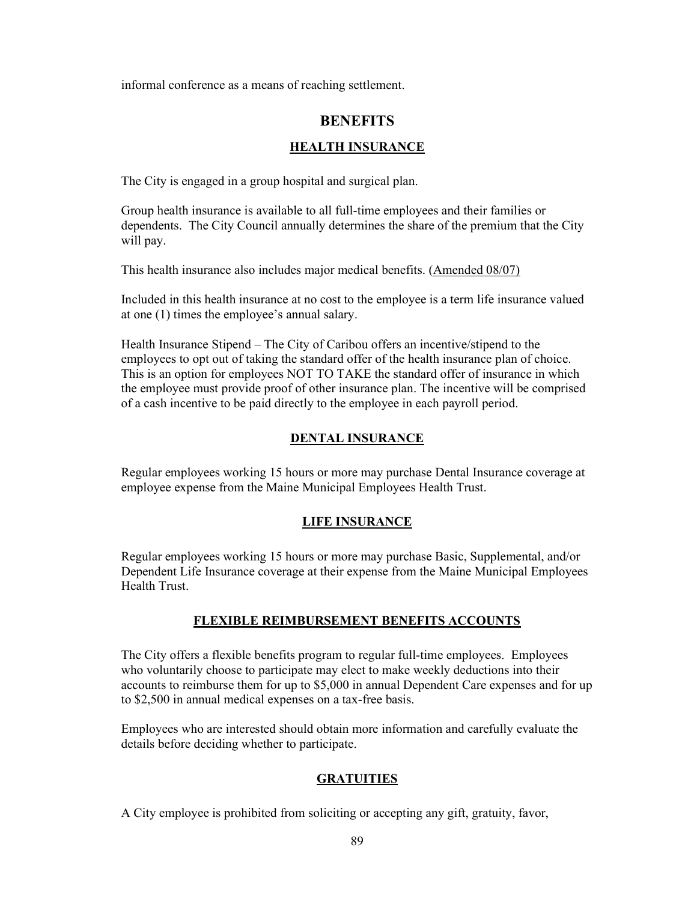informal conference as a means of reaching settlement.

# **BENEFITS**

# HEALTH INSURANCE

The City is engaged in a group hospital and surgical plan.

Group health insurance is available to all full-time employees and their families or dependents. The City Council annually determines the share of the premium that the City will pay.

This health insurance also includes major medical benefits. (Amended 08/07)

Included in this health insurance at no cost to the employee is a term life insurance valued at one (1) times the employee's annual salary.

Health Insurance Stipend – The City of Caribou offers an incentive/stipend to the employees to opt out of taking the standard offer of the health insurance plan of choice. This is an option for employees NOT TO TAKE the standard offer of insurance in which the employee must provide proof of other insurance plan. The incentive will be comprised of a cash incentive to be paid directly to the employee in each payroll period.

## DENTAL INSURANCE

Regular employees working 15 hours or more may purchase Dental Insurance coverage at employee expense from the Maine Municipal Employees Health Trust.

## LIFE INSURANCE

Regular employees working 15 hours or more may purchase Basic, Supplemental, and/or Dependent Life Insurance coverage at their expense from the Maine Municipal Employees Health Trust.

## FLEXIBLE REIMBURSEMENT BENEFITS ACCOUNTS

The City offers a flexible benefits program to regular full-time employees. Employees who voluntarily choose to participate may elect to make weekly deductions into their accounts to reimburse them for up to \$5,000 in annual Dependent Care expenses and for up to \$2,500 in annual medical expenses on a tax-free basis.

Employees who are interested should obtain more information and carefully evaluate the details before deciding whether to participate.

# **GRATUITIES**

A City employee is prohibited from soliciting or accepting any gift, gratuity, favor,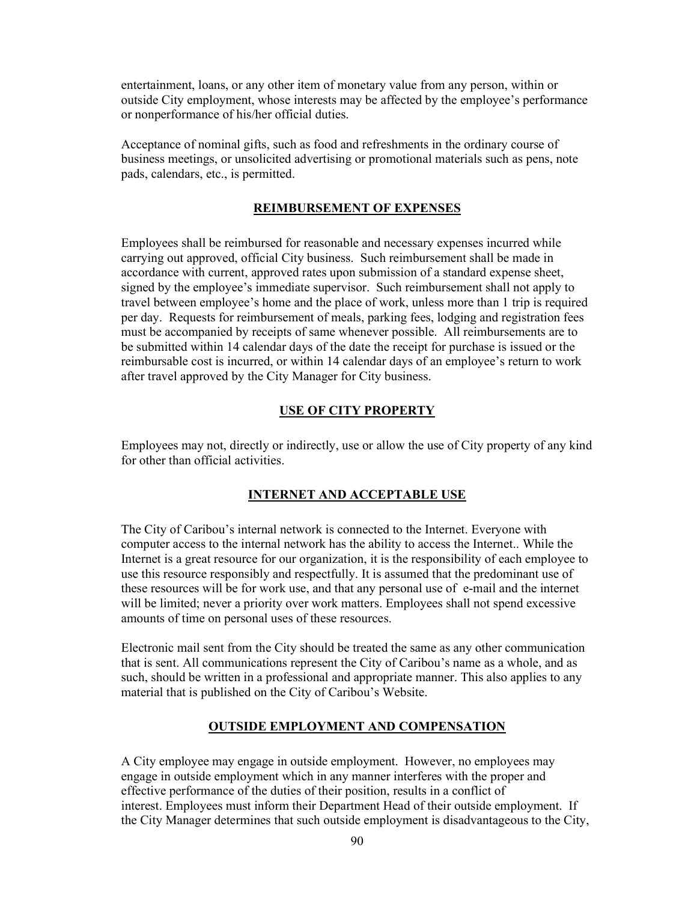entertainment, loans, or any other item of monetary value from any person, within or outside City employment, whose interests may be affected by the employee's performance or nonperformance of his/her official duties.

Acceptance of nominal gifts, such as food and refreshments in the ordinary course of business meetings, or unsolicited advertising or promotional materials such as pens, note pads, calendars, etc., is permitted.

#### REIMBURSEMENT OF EXPENSES

Employees shall be reimbursed for reasonable and necessary expenses incurred while carrying out approved, official City business. Such reimbursement shall be made in accordance with current, approved rates upon submission of a standard expense sheet, signed by the employee's immediate supervisor. Such reimbursement shall not apply to travel between employee's home and the place of work, unless more than 1 trip is required per day. Requests for reimbursement of meals, parking fees, lodging and registration fees must be accompanied by receipts of same whenever possible. All reimbursements are to be submitted within 14 calendar days of the date the receipt for purchase is issued or the reimbursable cost is incurred, or within 14 calendar days of an employee's return to work after travel approved by the City Manager for City business.

#### USE OF CITY PROPERTY

Employees may not, directly or indirectly, use or allow the use of City property of any kind for other than official activities.

#### INTERNET AND ACCEPTABLE USE

The City of Caribou's internal network is connected to the Internet. Everyone with computer access to the internal network has the ability to access the Internet.. While the Internet is a great resource for our organization, it is the responsibility of each employee to use this resource responsibly and respectfully. It is assumed that the predominant use of these resources will be for work use, and that any personal use of e-mail and the internet will be limited; never a priority over work matters. Employees shall not spend excessive amounts of time on personal uses of these resources.

Electronic mail sent from the City should be treated the same as any other communication that is sent. All communications represent the City of Caribou's name as a whole, and as such, should be written in a professional and appropriate manner. This also applies to any material that is published on the City of Caribou's Website.

## OUTSIDE EMPLOYMENT AND COMPENSATION

A City employee may engage in outside employment. However, no employees may engage in outside employment which in any manner interferes with the proper and effective performance of the duties of their position, results in a conflict of interest. Employees must inform their Department Head of their outside employment. If the City Manager determines that such outside employment is disadvantageous to the City,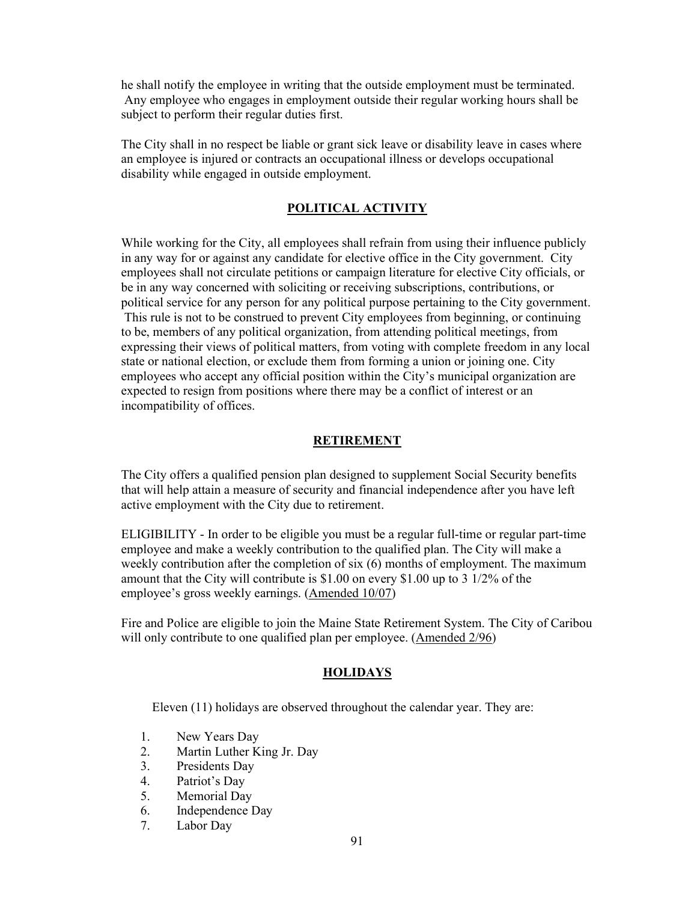he shall notify the employee in writing that the outside employment must be terminated. Any employee who engages in employment outside their regular working hours shall be subject to perform their regular duties first.

The City shall in no respect be liable or grant sick leave or disability leave in cases where an employee is injured or contracts an occupational illness or develops occupational disability while engaged in outside employment.

## POLITICAL ACTIVITY

While working for the City, all employees shall refrain from using their influence publicly in any way for or against any candidate for elective office in the City government. City employees shall not circulate petitions or campaign literature for elective City officials, or be in any way concerned with soliciting or receiving subscriptions, contributions, or political service for any person for any political purpose pertaining to the City government. This rule is not to be construed to prevent City employees from beginning, or continuing to be, members of any political organization, from attending political meetings, from expressing their views of political matters, from voting with complete freedom in any local state or national election, or exclude them from forming a union or joining one. City employees who accept any official position within the City's municipal organization are expected to resign from positions where there may be a conflict of interest or an incompatibility of offices.

## RETIREMENT

The City offers a qualified pension plan designed to supplement Social Security benefits that will help attain a measure of security and financial independence after you have left active employment with the City due to retirement.

ELIGIBILITY - In order to be eligible you must be a regular full-time or regular part-time employee and make a weekly contribution to the qualified plan. The City will make a weekly contribution after the completion of six (6) months of employment. The maximum amount that the City will contribute is \$1.00 on every \$1.00 up to 3 1/2% of the employee's gross weekly earnings. (Amended 10/07)

Fire and Police are eligible to join the Maine State Retirement System. The City of Caribou will only contribute to one qualified plan per employee. (Amended 2/96)

#### HOLIDAYS

Eleven (11) holidays are observed throughout the calendar year. They are:

- 1. New Years Day
- 2. Martin Luther King Jr. Day
- 3. Presidents Day
- 4. Patriot's Day
- 5. Memorial Day
- 6. Independence Day
- 7. Labor Day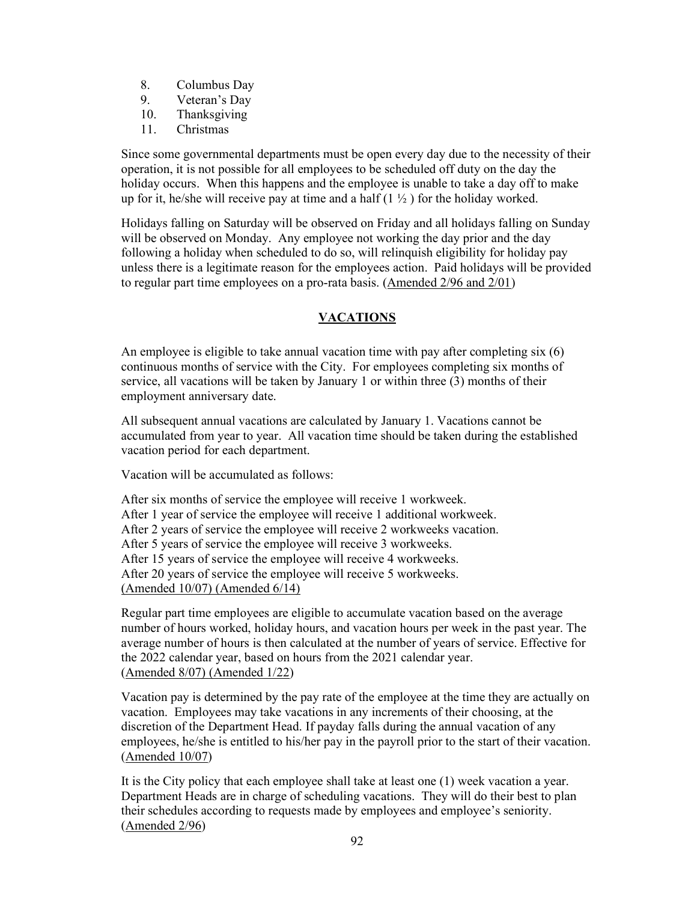- 8. Columbus Day
- 9. Veteran's Day
- 10. Thanksgiving
- 11. Christmas

Since some governmental departments must be open every day due to the necessity of their operation, it is not possible for all employees to be scheduled off duty on the day the holiday occurs. When this happens and the employee is unable to take a day off to make up for it, he/she will receive pay at time and a half  $(1 \frac{1}{2})$  for the holiday worked.

Holidays falling on Saturday will be observed on Friday and all holidays falling on Sunday will be observed on Monday. Any employee not working the day prior and the day following a holiday when scheduled to do so, will relinquish eligibility for holiday pay unless there is a legitimate reason for the employees action. Paid holidays will be provided to regular part time employees on a pro-rata basis. (Amended 2/96 and 2/01)

# VACATIONS

An employee is eligible to take annual vacation time with pay after completing  $s$ ix  $(6)$ continuous months of service with the City. For employees completing six months of service, all vacations will be taken by January 1 or within three (3) months of their employment anniversary date.

All subsequent annual vacations are calculated by January 1. Vacations cannot be accumulated from year to year. All vacation time should be taken during the established vacation period for each department.

Vacation will be accumulated as follows:

After six months of service the employee will receive 1 workweek. After 1 year of service the employee will receive 1 additional workweek. After 2 years of service the employee will receive 2 workweeks vacation. After 5 years of service the employee will receive 3 workweeks. After 15 years of service the employee will receive 4 workweeks. After 20 years of service the employee will receive 5 workweeks. (Amended 10/07) (Amended 6/14)

Regular part time employees are eligible to accumulate vacation based on the average number of hours worked, holiday hours, and vacation hours per week in the past year. The average number of hours is then calculated at the number of years of service. Effective for the 2022 calendar year, based on hours from the 2021 calendar year. (Amended 8/07) (Amended 1/22)

Vacation pay is determined by the pay rate of the employee at the time they are actually on vacation. Employees may take vacations in any increments of their choosing, at the discretion of the Department Head. If payday falls during the annual vacation of any employees, he/she is entitled to his/her pay in the payroll prior to the start of their vacation. (Amended 10/07)

It is the City policy that each employee shall take at least one (1) week vacation a year. Department Heads are in charge of scheduling vacations. They will do their best to plan their schedules according to requests made by employees and employee's seniority. (Amended 2/96)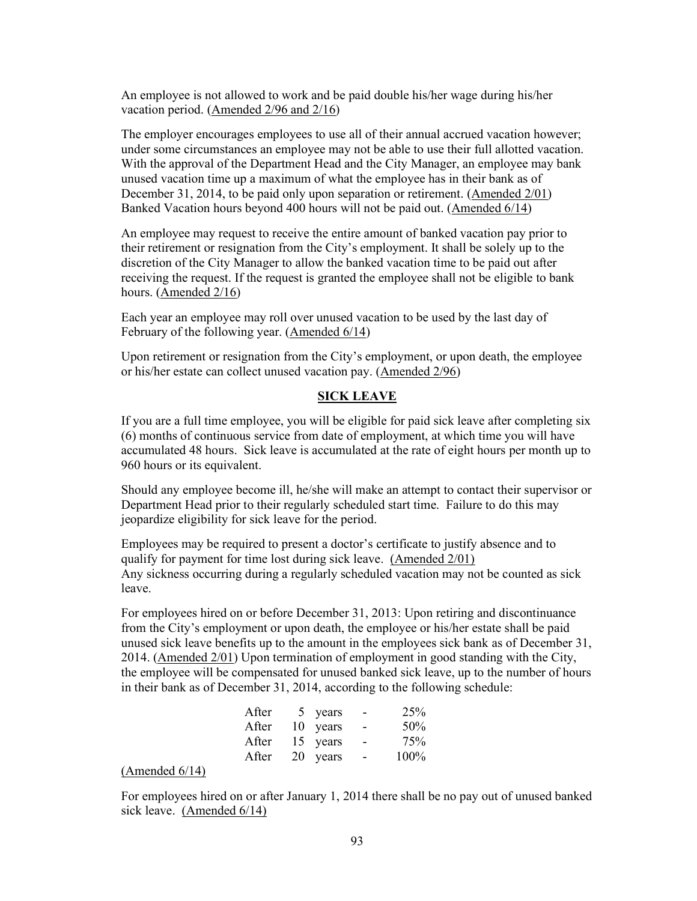An employee is not allowed to work and be paid double his/her wage during his/her vacation period. (Amended 2/96 and 2/16)

The employer encourages employees to use all of their annual accrued vacation however; under some circumstances an employee may not be able to use their full allotted vacation. With the approval of the Department Head and the City Manager, an employee may bank unused vacation time up a maximum of what the employee has in their bank as of December 31, 2014, to be paid only upon separation or retirement. (Amended 2/01) Banked Vacation hours beyond 400 hours will not be paid out. (Amended 6/14)

An employee may request to receive the entire amount of banked vacation pay prior to their retirement or resignation from the City's employment. It shall be solely up to the discretion of the City Manager to allow the banked vacation time to be paid out after receiving the request. If the request is granted the employee shall not be eligible to bank hours. (Amended 2/16)

Each year an employee may roll over unused vacation to be used by the last day of February of the following year. (Amended 6/14)

Upon retirement or resignation from the City's employment, or upon death, the employee or his/her estate can collect unused vacation pay. (Amended 2/96)

## SICK LEAVE

If you are a full time employee, you will be eligible for paid sick leave after completing six (6) months of continuous service from date of employment, at which time you will have accumulated 48 hours. Sick leave is accumulated at the rate of eight hours per month up to 960 hours or its equivalent.

Should any employee become ill, he/she will make an attempt to contact their supervisor or Department Head prior to their regularly scheduled start time. Failure to do this may jeopardize eligibility for sick leave for the period.

Employees may be required to present a doctor's certificate to justify absence and to qualify for payment for time lost during sick leave. (Amended 2/01) Any sickness occurring during a regularly scheduled vacation may not be counted as sick leave.

For employees hired on or before December 31, 2013: Upon retiring and discontinuance from the City's employment or upon death, the employee or his/her estate shall be paid unused sick leave benefits up to the amount in the employees sick bank as of December 31, 2014. (Amended 2/01) Upon termination of employment in good standing with the City, the employee will be compensated for unused banked sick leave, up to the number of hours in their bank as of December 31, 2014, according to the following schedule:

| After 5 years -  |      |
|------------------|------|
| After 10 years - | 50%  |
| After 15 years - | 75%  |
| After 20 years - | 100% |

#### (Amended 6/14)

For employees hired on or after January 1, 2014 there shall be no pay out of unused banked sick leave. (Amended 6/14)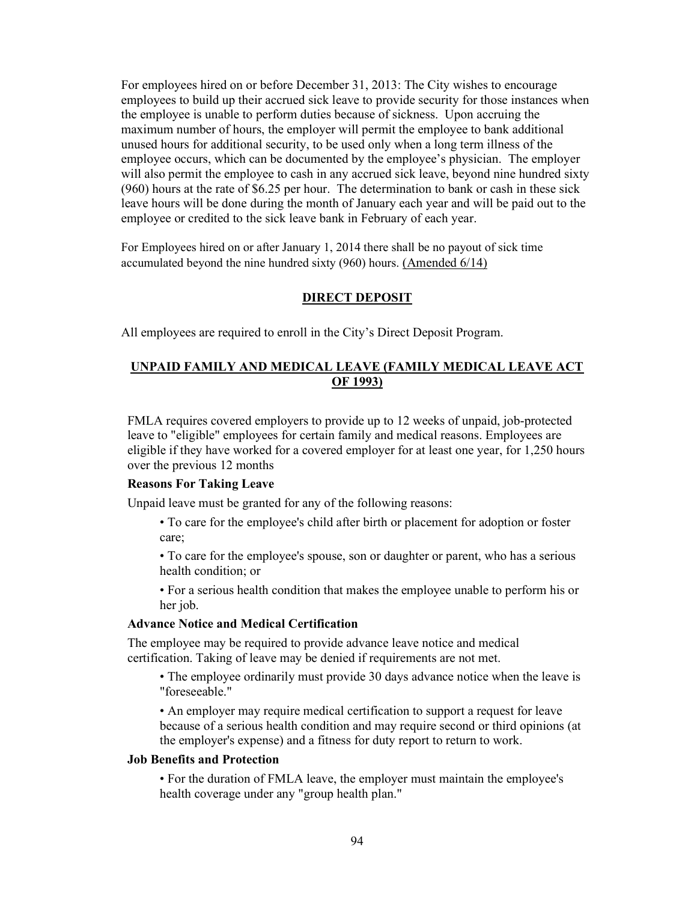For employees hired on or before December 31, 2013: The City wishes to encourage employees to build up their accrued sick leave to provide security for those instances when the employee is unable to perform duties because of sickness. Upon accruing the maximum number of hours, the employer will permit the employee to bank additional unused hours for additional security, to be used only when a long term illness of the employee occurs, which can be documented by the employee's physician. The employer will also permit the employee to cash in any accrued sick leave, beyond nine hundred sixty (960) hours at the rate of \$6.25 per hour. The determination to bank or cash in these sick leave hours will be done during the month of January each year and will be paid out to the employee or credited to the sick leave bank in February of each year.

For Employees hired on or after January 1, 2014 there shall be no payout of sick time accumulated beyond the nine hundred sixty (960) hours. (Amended 6/14)

#### DIRECT DEPOSIT

All employees are required to enroll in the City's Direct Deposit Program.

## UNPAID FAMILY AND MEDICAL LEAVE (FAMILY MEDICAL LEAVE ACT OF 1993)

FMLA requires covered employers to provide up to 12 weeks of unpaid, job-protected leave to "eligible" employees for certain family and medical reasons. Employees are eligible if they have worked for a covered employer for at least one year, for 1,250 hours over the previous 12 months

#### Reasons For Taking Leave

Unpaid leave must be granted for any of the following reasons:

- To care for the employee's child after birth or placement for adoption or foster care;
- To care for the employee's spouse, son or daughter or parent, who has a serious health condition; or

• For a serious health condition that makes the employee unable to perform his or her job.

#### Advance Notice and Medical Certification

The employee may be required to provide advance leave notice and medical certification. Taking of leave may be denied if requirements are not met.

• The employee ordinarily must provide 30 days advance notice when the leave is "foreseeable."

• An employer may require medical certification to support a request for leave because of a serious health condition and may require second or third opinions (at the employer's expense) and a fitness for duty report to return to work.

## Job Benefits and Protection

• For the duration of FMLA leave, the employer must maintain the employee's health coverage under any "group health plan."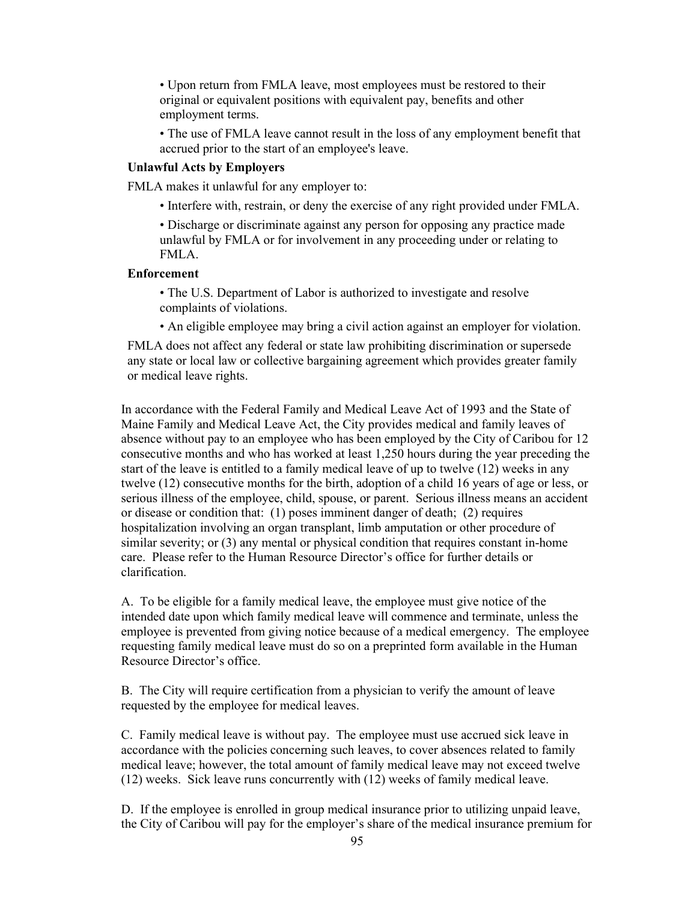• Upon return from FMLA leave, most employees must be restored to their original or equivalent positions with equivalent pay, benefits and other employment terms.

• The use of FMLA leave cannot result in the loss of any employment benefit that accrued prior to the start of an employee's leave.

#### Unlawful Acts by Employers

FMLA makes it unlawful for any employer to:

• Interfere with, restrain, or deny the exercise of any right provided under FMLA.

• Discharge or discriminate against any person for opposing any practice made unlawful by FMLA or for involvement in any proceeding under or relating to FMLA.

#### Enforcement

• The U.S. Department of Labor is authorized to investigate and resolve complaints of violations.

• An eligible employee may bring a civil action against an employer for violation.

FMLA does not affect any federal or state law prohibiting discrimination or supersede any state or local law or collective bargaining agreement which provides greater family or medical leave rights.

In accordance with the Federal Family and Medical Leave Act of 1993 and the State of Maine Family and Medical Leave Act, the City provides medical and family leaves of absence without pay to an employee who has been employed by the City of Caribou for 12 consecutive months and who has worked at least 1,250 hours during the year preceding the start of the leave is entitled to a family medical leave of up to twelve (12) weeks in any twelve (12) consecutive months for the birth, adoption of a child 16 years of age or less, or serious illness of the employee, child, spouse, or parent. Serious illness means an accident or disease or condition that: (1) poses imminent danger of death; (2) requires hospitalization involving an organ transplant, limb amputation or other procedure of similar severity; or (3) any mental or physical condition that requires constant in-home care. Please refer to the Human Resource Director's office for further details or clarification.

A. To be eligible for a family medical leave, the employee must give notice of the intended date upon which family medical leave will commence and terminate, unless the employee is prevented from giving notice because of a medical emergency. The employee requesting family medical leave must do so on a preprinted form available in the Human Resource Director's office.

B. The City will require certification from a physician to verify the amount of leave requested by the employee for medical leaves.

C. Family medical leave is without pay. The employee must use accrued sick leave in accordance with the policies concerning such leaves, to cover absences related to family medical leave; however, the total amount of family medical leave may not exceed twelve (12) weeks. Sick leave runs concurrently with (12) weeks of family medical leave.

D. If the employee is enrolled in group medical insurance prior to utilizing unpaid leave, the City of Caribou will pay for the employer's share of the medical insurance premium for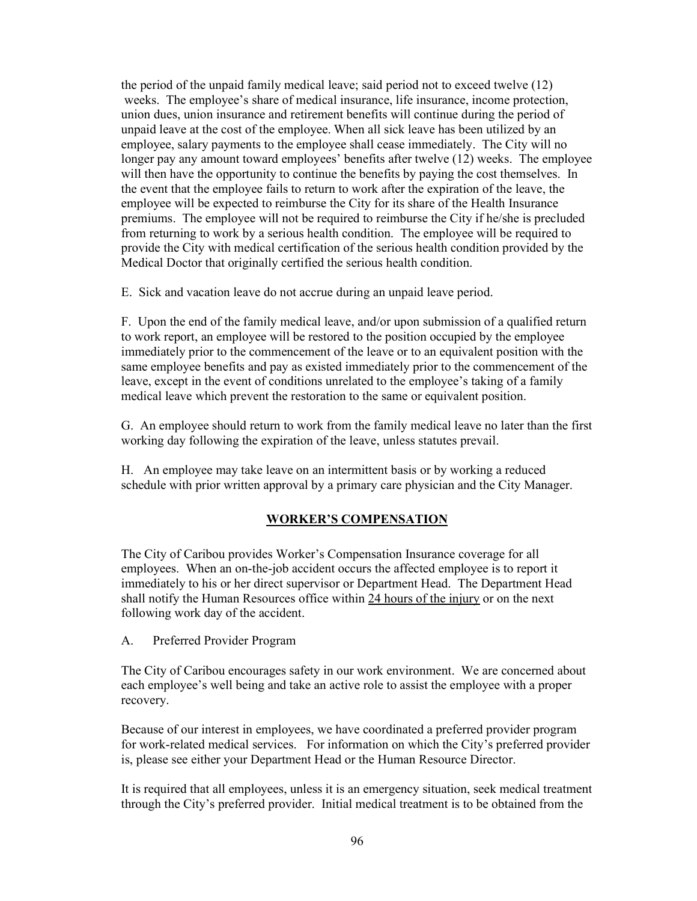the period of the unpaid family medical leave; said period not to exceed twelve (12) weeks. The employee's share of medical insurance, life insurance, income protection, union dues, union insurance and retirement benefits will continue during the period of unpaid leave at the cost of the employee. When all sick leave has been utilized by an employee, salary payments to the employee shall cease immediately. The City will no longer pay any amount toward employees' benefits after twelve (12) weeks. The employee will then have the opportunity to continue the benefits by paying the cost themselves. In the event that the employee fails to return to work after the expiration of the leave, the employee will be expected to reimburse the City for its share of the Health Insurance premiums. The employee will not be required to reimburse the City if he/she is precluded from returning to work by a serious health condition. The employee will be required to provide the City with medical certification of the serious health condition provided by the Medical Doctor that originally certified the serious health condition.

E. Sick and vacation leave do not accrue during an unpaid leave period.

F. Upon the end of the family medical leave, and/or upon submission of a qualified return to work report, an employee will be restored to the position occupied by the employee immediately prior to the commencement of the leave or to an equivalent position with the same employee benefits and pay as existed immediately prior to the commencement of the leave, except in the event of conditions unrelated to the employee's taking of a family medical leave which prevent the restoration to the same or equivalent position.

G. An employee should return to work from the family medical leave no later than the first working day following the expiration of the leave, unless statutes prevail.

H. An employee may take leave on an intermittent basis or by working a reduced schedule with prior written approval by a primary care physician and the City Manager.

# WORKER'S COMPENSATION

The City of Caribou provides Worker's Compensation Insurance coverage for all employees. When an on-the-job accident occurs the affected employee is to report it immediately to his or her direct supervisor or Department Head. The Department Head shall notify the Human Resources office within 24 hours of the injury or on the next following work day of the accident.

A. Preferred Provider Program

The City of Caribou encourages safety in our work environment. We are concerned about each employee's well being and take an active role to assist the employee with a proper recovery.

Because of our interest in employees, we have coordinated a preferred provider program for work-related medical services. For information on which the City's preferred provider is, please see either your Department Head or the Human Resource Director.

It is required that all employees, unless it is an emergency situation, seek medical treatment through the City's preferred provider. Initial medical treatment is to be obtained from the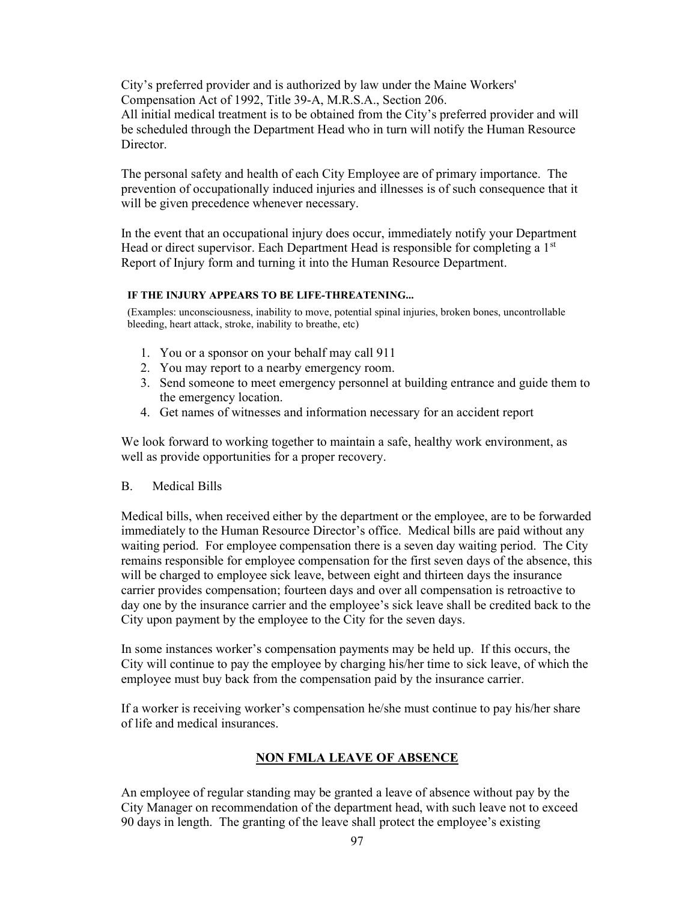City's preferred provider and is authorized by law under the Maine Workers' Compensation Act of 1992, Title 39-A, M.R.S.A., Section 206.

All initial medical treatment is to be obtained from the City's preferred provider and will be scheduled through the Department Head who in turn will notify the Human Resource Director.

The personal safety and health of each City Employee are of primary importance. The prevention of occupationally induced injuries and illnesses is of such consequence that it will be given precedence whenever necessary.

In the event that an occupational injury does occur, immediately notify your Department Head or direct supervisor. Each Department Head is responsible for completing a 1<sup>st</sup> Report of Injury form and turning it into the Human Resource Department.

#### IF THE INJURY APPEARS TO BE LIFE-THREATENING...

(Examples: unconsciousness, inability to move, potential spinal injuries, broken bones, uncontrollable bleeding, heart attack, stroke, inability to breathe, etc)

- 1. You or a sponsor on your behalf may call 911
- 2. You may report to a nearby emergency room.
- 3. Send someone to meet emergency personnel at building entrance and guide them to the emergency location.
- 4. Get names of witnesses and information necessary for an accident report

We look forward to working together to maintain a safe, healthy work environment, as well as provide opportunities for a proper recovery.

## B. Medical Bills

Medical bills, when received either by the department or the employee, are to be forwarded immediately to the Human Resource Director's office. Medical bills are paid without any waiting period. For employee compensation there is a seven day waiting period. The City remains responsible for employee compensation for the first seven days of the absence, this will be charged to employee sick leave, between eight and thirteen days the insurance carrier provides compensation; fourteen days and over all compensation is retroactive to day one by the insurance carrier and the employee's sick leave shall be credited back to the City upon payment by the employee to the City for the seven days.

In some instances worker's compensation payments may be held up. If this occurs, the City will continue to pay the employee by charging his/her time to sick leave, of which the employee must buy back from the compensation paid by the insurance carrier.

If a worker is receiving worker's compensation he/she must continue to pay his/her share of life and medical insurances.

# NON FMLA LEAVE OF ABSENCE

An employee of regular standing may be granted a leave of absence without pay by the City Manager on recommendation of the department head, with such leave not to exceed 90 days in length. The granting of the leave shall protect the employee's existing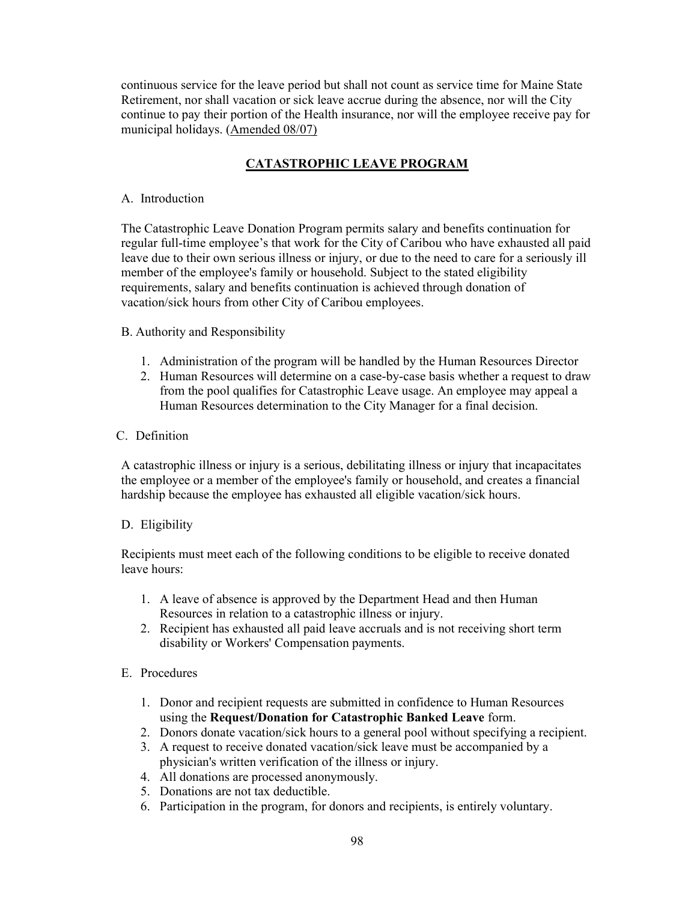continuous service for the leave period but shall not count as service time for Maine State Retirement, nor shall vacation or sick leave accrue during the absence, nor will the City continue to pay their portion of the Health insurance, nor will the employee receive pay for municipal holidays. (Amended 08/07)

# CATASTROPHIC LEAVE PROGRAM

## A. Introduction

The Catastrophic Leave Donation Program permits salary and benefits continuation for regular full-time employee's that work for the City of Caribou who have exhausted all paid leave due to their own serious illness or injury, or due to the need to care for a seriously ill member of the employee's family or household. Subject to the stated eligibility requirements, salary and benefits continuation is achieved through donation of vacation/sick hours from other City of Caribou employees.

B. Authority and Responsibility

- 1. Administration of the program will be handled by the Human Resources Director
- 2. Human Resources will determine on a case-by-case basis whether a request to draw from the pool qualifies for Catastrophic Leave usage. An employee may appeal a Human Resources determination to the City Manager for a final decision.

## C. Definition

A catastrophic illness or injury is a serious, debilitating illness or injury that incapacitates the employee or a member of the employee's family or household, and creates a financial hardship because the employee has exhausted all eligible vacation/sick hours.

## D. Eligibility

Recipients must meet each of the following conditions to be eligible to receive donated leave hours:

- 1. A leave of absence is approved by the Department Head and then Human Resources in relation to a catastrophic illness or injury.
- 2. Recipient has exhausted all paid leave accruals and is not receiving short term disability or Workers' Compensation payments.

## E. Procedures

- 1. Donor and recipient requests are submitted in confidence to Human Resources using the Request/Donation for Catastrophic Banked Leave form.
- 2. Donors donate vacation/sick hours to a general pool without specifying a recipient.
- 3. A request to receive donated vacation/sick leave must be accompanied by a physician's written verification of the illness or injury.
- 4. All donations are processed anonymously.
- 5. Donations are not tax deductible.
- 6. Participation in the program, for donors and recipients, is entirely voluntary.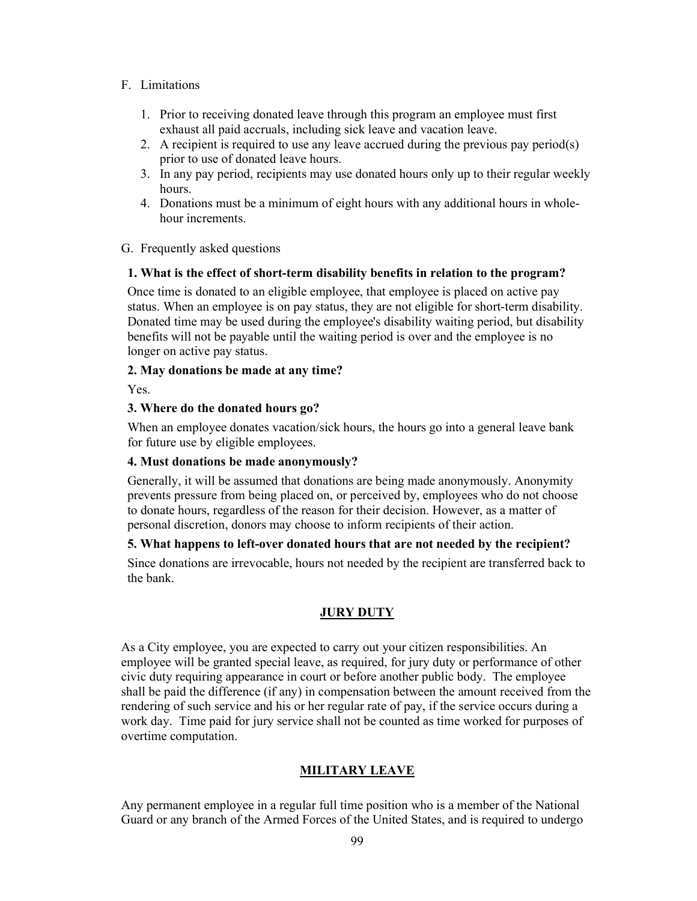## F. Limitations

- 1. Prior to receiving donated leave through this program an employee must first exhaust all paid accruals, including sick leave and vacation leave.
- 2. A recipient is required to use any leave accrued during the previous pay period(s) prior to use of donated leave hours.
- 3. In any pay period, recipients may use donated hours only up to their regular weekly hours.
- 4. Donations must be a minimum of eight hours with any additional hours in wholehour increments.
- G. Frequently asked questions

#### 1. What is the effect of short-term disability benefits in relation to the program?

Once time is donated to an eligible employee, that employee is placed on active pay status. When an employee is on pay status, they are not eligible for short-term disability. Donated time may be used during the employee's disability waiting period, but disability benefits will not be payable until the waiting period is over and the employee is no longer on active pay status.

## 2. May donations be made at any time?

Yes.

## 3. Where do the donated hours go?

When an employee donates vacation/sick hours, the hours go into a general leave bank for future use by eligible employees.

#### 4. Must donations be made anonymously?

Generally, it will be assumed that donations are being made anonymously. Anonymity prevents pressure from being placed on, or perceived by, employees who do not choose to donate hours, regardless of the reason for their decision. However, as a matter of personal discretion, donors may choose to inform recipients of their action.

## 5. What happens to left-over donated hours that are not needed by the recipient?

Since donations are irrevocable, hours not needed by the recipient are transferred back to the bank.

## JURY DUTY

As a City employee, you are expected to carry out your citizen responsibilities. An employee will be granted special leave, as required, for jury duty or performance of other civic duty requiring appearance in court or before another public body. The employee shall be paid the difference (if any) in compensation between the amount received from the rendering of such service and his or her regular rate of pay, if the service occurs during a work day. Time paid for jury service shall not be counted as time worked for purposes of overtime computation.

## MILITARY LEAVE

Any permanent employee in a regular full time position who is a member of the National Guard or any branch of the Armed Forces of the United States, and is required to undergo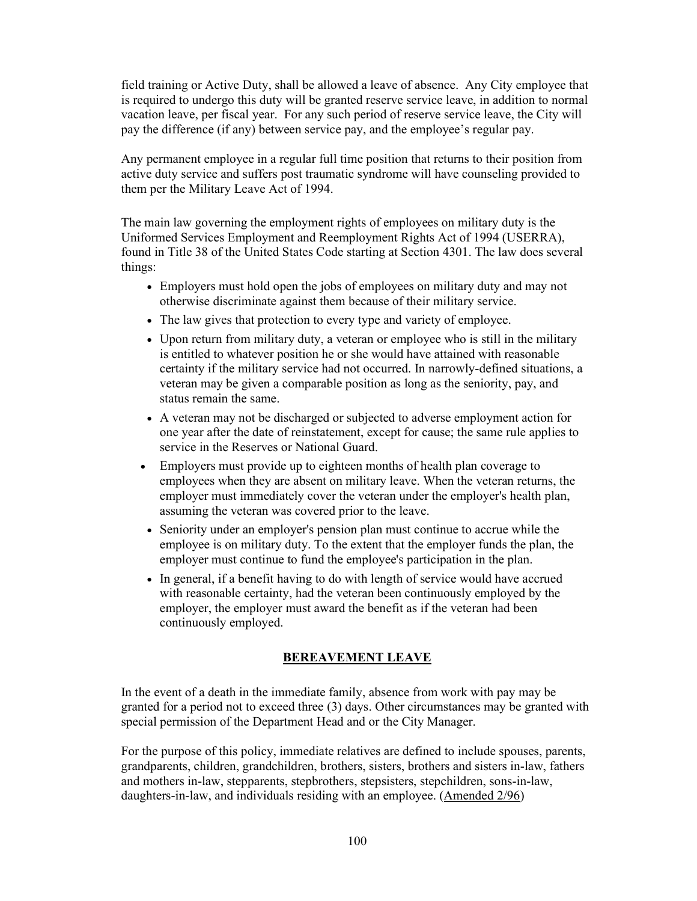field training or Active Duty, shall be allowed a leave of absence. Any City employee that is required to undergo this duty will be granted reserve service leave, in addition to normal vacation leave, per fiscal year. For any such period of reserve service leave, the City will pay the difference (if any) between service pay, and the employee's regular pay.

Any permanent employee in a regular full time position that returns to their position from active duty service and suffers post traumatic syndrome will have counseling provided to them per the Military Leave Act of 1994.

The main law governing the employment rights of employees on military duty is the Uniformed Services Employment and Reemployment Rights Act of 1994 (USERRA), found in Title 38 of the United States Code starting at Section 4301. The law does several things:

- Employers must hold open the jobs of employees on military duty and may not otherwise discriminate against them because of their military service.
- The law gives that protection to every type and variety of employee.
- Upon return from military duty, a veteran or employee who is still in the military is entitled to whatever position he or she would have attained with reasonable certainty if the military service had not occurred. In narrowly-defined situations, a veteran may be given a comparable position as long as the seniority, pay, and status remain the same.
- A veteran may not be discharged or subjected to adverse employment action for one year after the date of reinstatement, except for cause; the same rule applies to service in the Reserves or National Guard.
- Employers must provide up to eighteen months of health plan coverage to employees when they are absent on military leave. When the veteran returns, the employer must immediately cover the veteran under the employer's health plan, assuming the veteran was covered prior to the leave.
- Seniority under an employer's pension plan must continue to accrue while the employee is on military duty. To the extent that the employer funds the plan, the employer must continue to fund the employee's participation in the plan.
- In general, if a benefit having to do with length of service would have accrued with reasonable certainty, had the veteran been continuously employed by the employer, the employer must award the benefit as if the veteran had been continuously employed.

## BEREAVEMENT LEAVE

In the event of a death in the immediate family, absence from work with pay may be granted for a period not to exceed three (3) days. Other circumstances may be granted with special permission of the Department Head and or the City Manager.

For the purpose of this policy, immediate relatives are defined to include spouses, parents, grandparents, children, grandchildren, brothers, sisters, brothers and sisters in-law, fathers and mothers in-law, stepparents, stepbrothers, stepsisters, stepchildren, sons-in-law, daughters-in-law, and individuals residing with an employee. (Amended 2/96)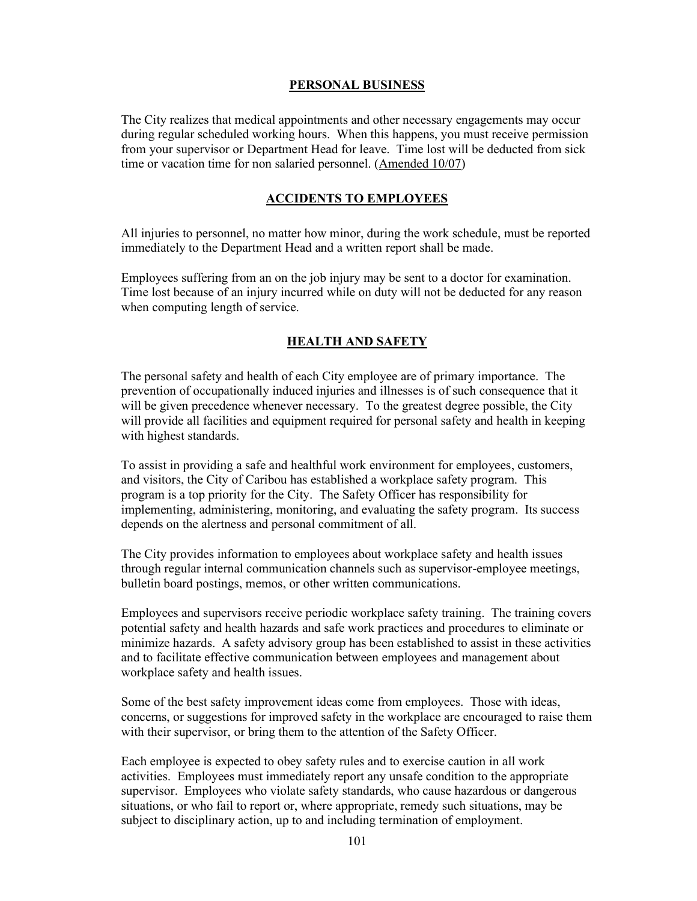## PERSONAL BUSINESS

The City realizes that medical appointments and other necessary engagements may occur during regular scheduled working hours. When this happens, you must receive permission from your supervisor or Department Head for leave. Time lost will be deducted from sick time or vacation time for non salaried personnel. (Amended 10/07)

#### ACCIDENTS TO EMPLOYEES

All injuries to personnel, no matter how minor, during the work schedule, must be reported immediately to the Department Head and a written report shall be made.

Employees suffering from an on the job injury may be sent to a doctor for examination. Time lost because of an injury incurred while on duty will not be deducted for any reason when computing length of service.

#### **HEALTH AND SAFETY**

The personal safety and health of each City employee are of primary importance. The prevention of occupationally induced injuries and illnesses is of such consequence that it will be given precedence whenever necessary. To the greatest degree possible, the City will provide all facilities and equipment required for personal safety and health in keeping with highest standards.

To assist in providing a safe and healthful work environment for employees, customers, and visitors, the City of Caribou has established a workplace safety program. This program is a top priority for the City. The Safety Officer has responsibility for implementing, administering, monitoring, and evaluating the safety program. Its success depends on the alertness and personal commitment of all.

The City provides information to employees about workplace safety and health issues through regular internal communication channels such as supervisor-employee meetings, bulletin board postings, memos, or other written communications.

Employees and supervisors receive periodic workplace safety training. The training covers potential safety and health hazards and safe work practices and procedures to eliminate or minimize hazards. A safety advisory group has been established to assist in these activities and to facilitate effective communication between employees and management about workplace safety and health issues.

Some of the best safety improvement ideas come from employees. Those with ideas, concerns, or suggestions for improved safety in the workplace are encouraged to raise them with their supervisor, or bring them to the attention of the Safety Officer.

Each employee is expected to obey safety rules and to exercise caution in all work activities. Employees must immediately report any unsafe condition to the appropriate supervisor. Employees who violate safety standards, who cause hazardous or dangerous situations, or who fail to report or, where appropriate, remedy such situations, may be subject to disciplinary action, up to and including termination of employment.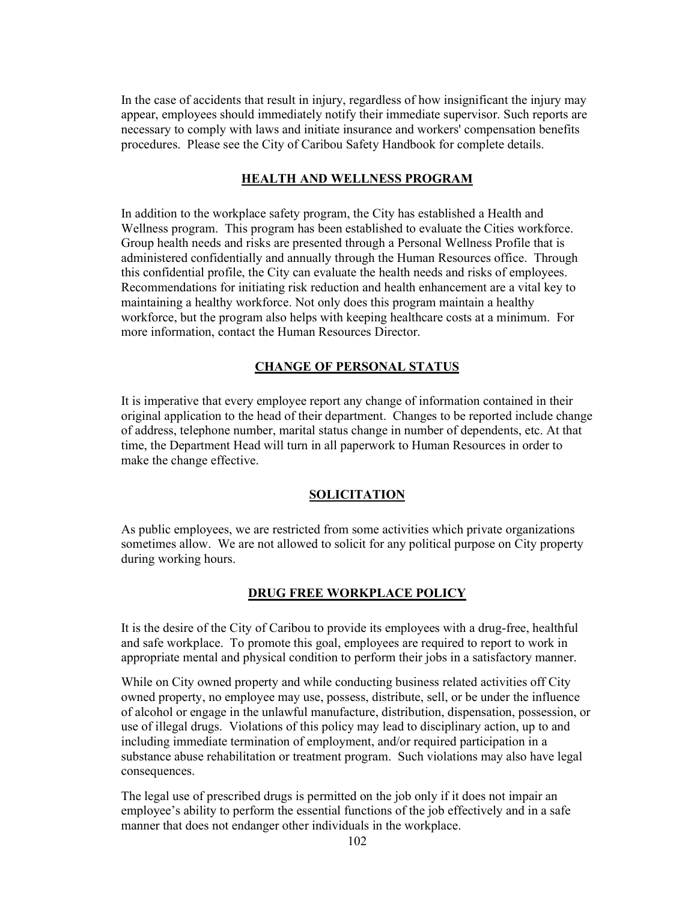In the case of accidents that result in injury, regardless of how insignificant the injury may appear, employees should immediately notify their immediate supervisor. Such reports are necessary to comply with laws and initiate insurance and workers' compensation benefits procedures. Please see the City of Caribou Safety Handbook for complete details.

## HEALTH AND WELLNESS PROGRAM

In addition to the workplace safety program, the City has established a Health and Wellness program. This program has been established to evaluate the Cities workforce. Group health needs and risks are presented through a Personal Wellness Profile that is administered confidentially and annually through the Human Resources office. Through this confidential profile, the City can evaluate the health needs and risks of employees. Recommendations for initiating risk reduction and health enhancement are a vital key to maintaining a healthy workforce. Not only does this program maintain a healthy workforce, but the program also helps with keeping healthcare costs at a minimum. For more information, contact the Human Resources Director.

# CHANGE OF PERSONAL STATUS

It is imperative that every employee report any change of information contained in their original application to the head of their department. Changes to be reported include change of address, telephone number, marital status change in number of dependents, etc. At that time, the Department Head will turn in all paperwork to Human Resources in order to make the change effective.

# SOLICITATION

As public employees, we are restricted from some activities which private organizations sometimes allow. We are not allowed to solicit for any political purpose on City property during working hours.

# DRUG FREE WORKPLACE POLICY

It is the desire of the City of Caribou to provide its employees with a drug-free, healthful and safe workplace. To promote this goal, employees are required to report to work in appropriate mental and physical condition to perform their jobs in a satisfactory manner.

While on City owned property and while conducting business related activities off City owned property, no employee may use, possess, distribute, sell, or be under the influence of alcohol or engage in the unlawful manufacture, distribution, dispensation, possession, or use of illegal drugs. Violations of this policy may lead to disciplinary action, up to and including immediate termination of employment, and/or required participation in a substance abuse rehabilitation or treatment program. Such violations may also have legal consequences.

The legal use of prescribed drugs is permitted on the job only if it does not impair an employee's ability to perform the essential functions of the job effectively and in a safe manner that does not endanger other individuals in the workplace.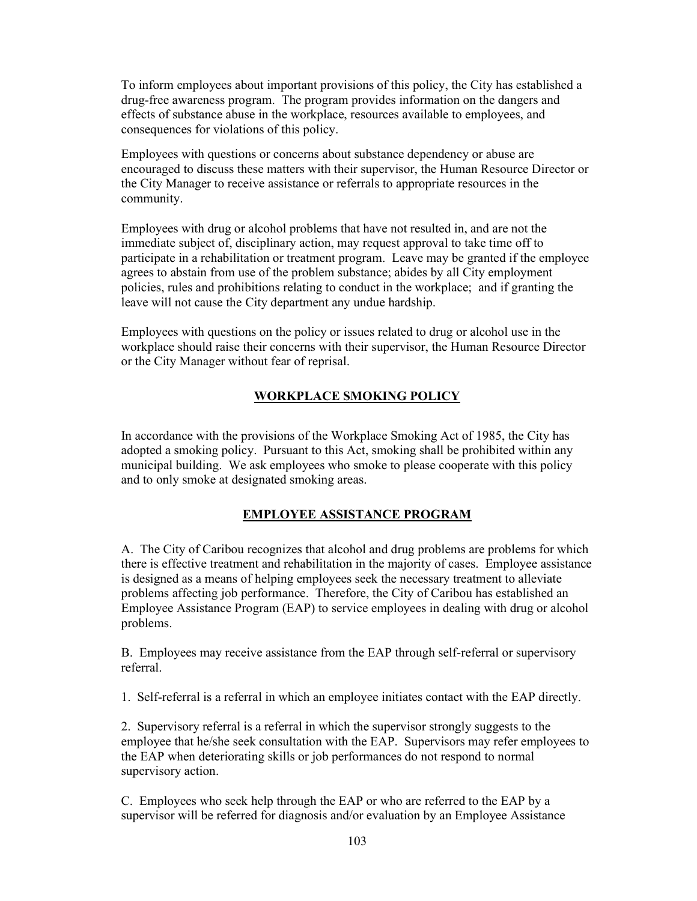To inform employees about important provisions of this policy, the City has established a drug-free awareness program. The program provides information on the dangers and effects of substance abuse in the workplace, resources available to employees, and consequences for violations of this policy.

Employees with questions or concerns about substance dependency or abuse are encouraged to discuss these matters with their supervisor, the Human Resource Director or the City Manager to receive assistance or referrals to appropriate resources in the community.

Employees with drug or alcohol problems that have not resulted in, and are not the immediate subject of, disciplinary action, may request approval to take time off to participate in a rehabilitation or treatment program. Leave may be granted if the employee agrees to abstain from use of the problem substance; abides by all City employment policies, rules and prohibitions relating to conduct in the workplace; and if granting the leave will not cause the City department any undue hardship.

Employees with questions on the policy or issues related to drug or alcohol use in the workplace should raise their concerns with their supervisor, the Human Resource Director or the City Manager without fear of reprisal.

## WORKPLACE SMOKING POLICY

In accordance with the provisions of the Workplace Smoking Act of 1985, the City has adopted a smoking policy. Pursuant to this Act, smoking shall be prohibited within any municipal building. We ask employees who smoke to please cooperate with this policy and to only smoke at designated smoking areas.

## EMPLOYEE ASSISTANCE PROGRAM

A. The City of Caribou recognizes that alcohol and drug problems are problems for which there is effective treatment and rehabilitation in the majority of cases. Employee assistance is designed as a means of helping employees seek the necessary treatment to alleviate problems affecting job performance. Therefore, the City of Caribou has established an Employee Assistance Program (EAP) to service employees in dealing with drug or alcohol problems.

B. Employees may receive assistance from the EAP through self-referral or supervisory referral.

1. Self-referral is a referral in which an employee initiates contact with the EAP directly.

2. Supervisory referral is a referral in which the supervisor strongly suggests to the employee that he/she seek consultation with the EAP. Supervisors may refer employees to the EAP when deteriorating skills or job performances do not respond to normal supervisory action.

C. Employees who seek help through the EAP or who are referred to the EAP by a supervisor will be referred for diagnosis and/or evaluation by an Employee Assistance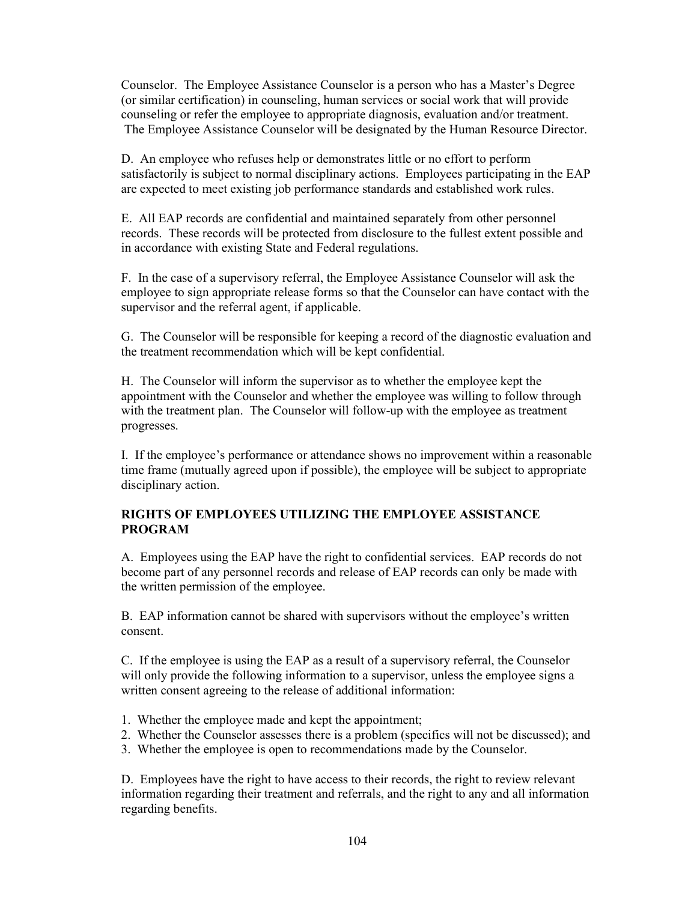Counselor. The Employee Assistance Counselor is a person who has a Master's Degree (or similar certification) in counseling, human services or social work that will provide counseling or refer the employee to appropriate diagnosis, evaluation and/or treatment. The Employee Assistance Counselor will be designated by the Human Resource Director.

D. An employee who refuses help or demonstrates little or no effort to perform satisfactorily is subject to normal disciplinary actions. Employees participating in the EAP are expected to meet existing job performance standards and established work rules.

E. All EAP records are confidential and maintained separately from other personnel records. These records will be protected from disclosure to the fullest extent possible and in accordance with existing State and Federal regulations.

F. In the case of a supervisory referral, the Employee Assistance Counselor will ask the employee to sign appropriate release forms so that the Counselor can have contact with the supervisor and the referral agent, if applicable.

G. The Counselor will be responsible for keeping a record of the diagnostic evaluation and the treatment recommendation which will be kept confidential.

H. The Counselor will inform the supervisor as to whether the employee kept the appointment with the Counselor and whether the employee was willing to follow through with the treatment plan. The Counselor will follow-up with the employee as treatment progresses.

I. If the employee's performance or attendance shows no improvement within a reasonable time frame (mutually agreed upon if possible), the employee will be subject to appropriate disciplinary action.

## RIGHTS OF EMPLOYEES UTILIZING THE EMPLOYEE ASSISTANCE PROGRAM

A. Employees using the EAP have the right to confidential services. EAP records do not become part of any personnel records and release of EAP records can only be made with the written permission of the employee.

B. EAP information cannot be shared with supervisors without the employee's written consent.

C. If the employee is using the EAP as a result of a supervisory referral, the Counselor will only provide the following information to a supervisor, unless the employee signs a written consent agreeing to the release of additional information:

- 1. Whether the employee made and kept the appointment;
- 2. Whether the Counselor assesses there is a problem (specifics will not be discussed); and
- 3. Whether the employee is open to recommendations made by the Counselor.

D. Employees have the right to have access to their records, the right to review relevant information regarding their treatment and referrals, and the right to any and all information regarding benefits.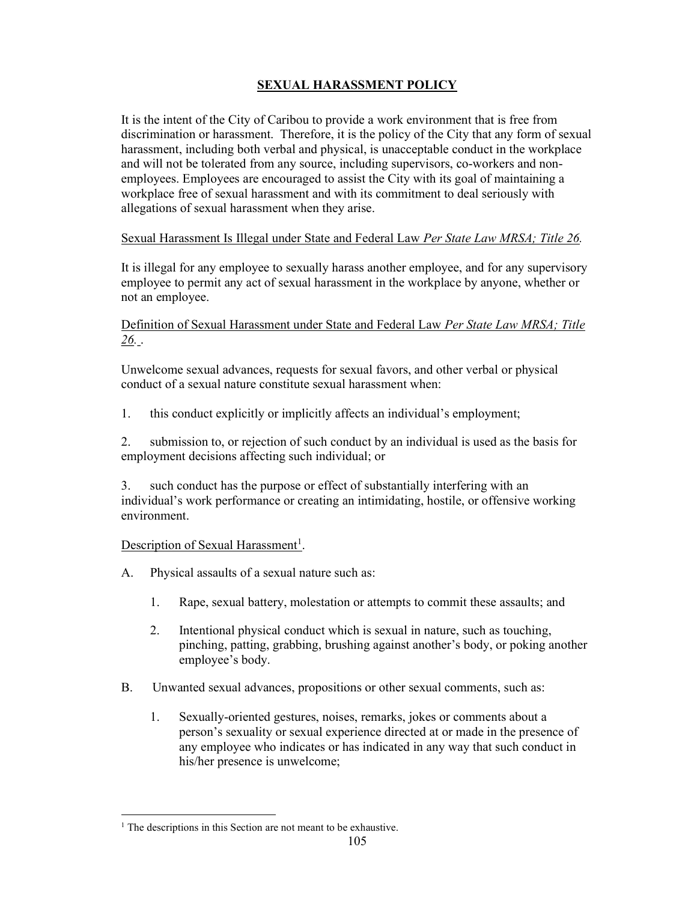# **SEXUAL HARASSMENT POLICY**

It is the intent of the City of Caribou to provide a work environment that is free from discrimination or harassment. Therefore, it is the policy of the City that any form of sexual harassment, including both verbal and physical, is unacceptable conduct in the workplace and will not be tolerated from any source, including supervisors, co-workers and nonemployees. Employees are encouraged to assist the City with its goal of maintaining a workplace free of sexual harassment and with its commitment to deal seriously with allegations of sexual harassment when they arise.

## Sexual Harassment Is Illegal under State and Federal Law Per State Law MRSA; Title 26.

It is illegal for any employee to sexually harass another employee, and for any supervisory employee to permit any act of sexual harassment in the workplace by anyone, whether or not an employee.

## Definition of Sexual Harassment under State and Federal Law Per State Law MRSA; Title 26. .

Unwelcome sexual advances, requests for sexual favors, and other verbal or physical conduct of a sexual nature constitute sexual harassment when:

1. this conduct explicitly or implicitly affects an individual's employment;

2. submission to, or rejection of such conduct by an individual is used as the basis for employment decisions affecting such individual; or

3. such conduct has the purpose or effect of substantially interfering with an individual's work performance or creating an intimidating, hostile, or offensive working environment.

## Description of Sexual Harassment<sup>1</sup>.

- A. Physical assaults of a sexual nature such as:
	- 1. Rape, sexual battery, molestation or attempts to commit these assaults; and
	- 2. Intentional physical conduct which is sexual in nature, such as touching, pinching, patting, grabbing, brushing against another's body, or poking another employee's body.
- B. Unwanted sexual advances, propositions or other sexual comments, such as:
	- 1. Sexually-oriented gestures, noises, remarks, jokes or comments about a person's sexuality or sexual experience directed at or made in the presence of any employee who indicates or has indicated in any way that such conduct in his/her presence is unwelcome;

<sup>&</sup>lt;sup>1</sup> The descriptions in this Section are not meant to be exhaustive.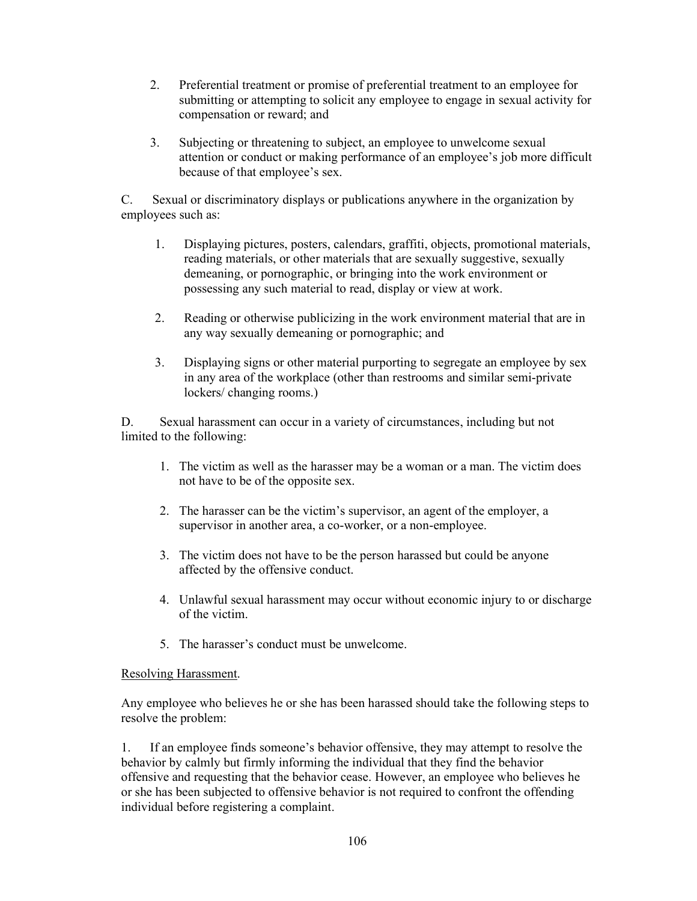- 2. Preferential treatment or promise of preferential treatment to an employee for submitting or attempting to solicit any employee to engage in sexual activity for compensation or reward; and
- 3. Subjecting or threatening to subject, an employee to unwelcome sexual attention or conduct or making performance of an employee's job more difficult because of that employee's sex.

C. Sexual or discriminatory displays or publications anywhere in the organization by employees such as:

- 1. Displaying pictures, posters, calendars, graffiti, objects, promotional materials, reading materials, or other materials that are sexually suggestive, sexually demeaning, or pornographic, or bringing into the work environment or possessing any such material to read, display or view at work.
- 2. Reading or otherwise publicizing in the work environment material that are in any way sexually demeaning or pornographic; and
- 3. Displaying signs or other material purporting to segregate an employee by sex in any area of the workplace (other than restrooms and similar semi-private lockers/ changing rooms.)

D. Sexual harassment can occur in a variety of circumstances, including but not limited to the following:

- 1. The victim as well as the harasser may be a woman or a man. The victim does not have to be of the opposite sex.
- 2. The harasser can be the victim's supervisor, an agent of the employer, a supervisor in another area, a co-worker, or a non-employee.
- 3. The victim does not have to be the person harassed but could be anyone affected by the offensive conduct.
- 4. Unlawful sexual harassment may occur without economic injury to or discharge of the victim.
- 5. The harasser's conduct must be unwelcome.

## Resolving Harassment.

Any employee who believes he or she has been harassed should take the following steps to resolve the problem:

1. If an employee finds someone's behavior offensive, they may attempt to resolve the behavior by calmly but firmly informing the individual that they find the behavior offensive and requesting that the behavior cease. However, an employee who believes he or she has been subjected to offensive behavior is not required to confront the offending individual before registering a complaint.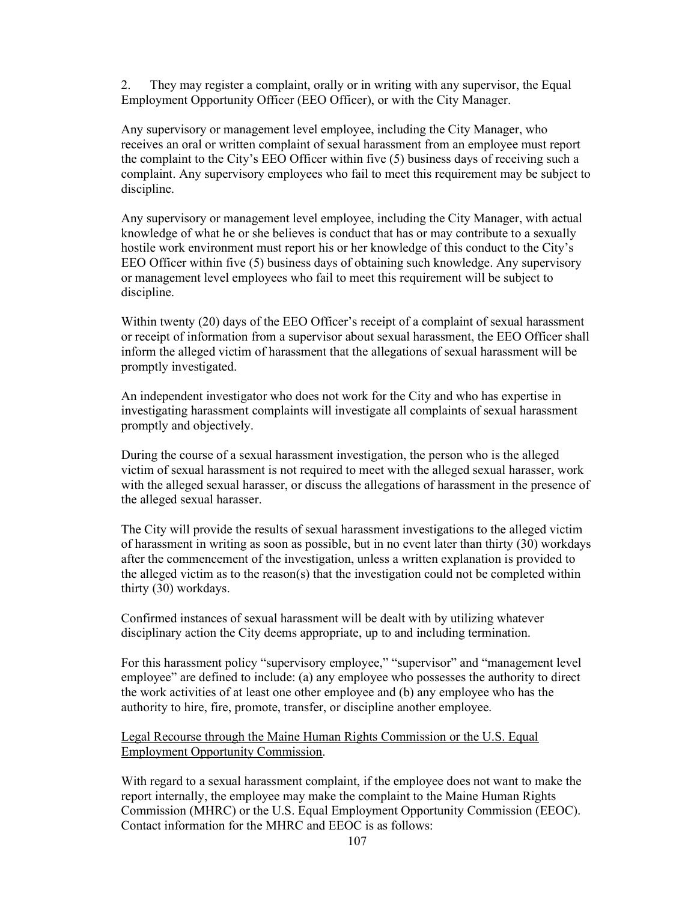2. They may register a complaint, orally or in writing with any supervisor, the Equal Employment Opportunity Officer (EEO Officer), or with the City Manager.

Any supervisory or management level employee, including the City Manager, who receives an oral or written complaint of sexual harassment from an employee must report the complaint to the City's EEO Officer within five (5) business days of receiving such a complaint. Any supervisory employees who fail to meet this requirement may be subject to discipline.

Any supervisory or management level employee, including the City Manager, with actual knowledge of what he or she believes is conduct that has or may contribute to a sexually hostile work environment must report his or her knowledge of this conduct to the City's EEO Officer within five (5) business days of obtaining such knowledge. Any supervisory or management level employees who fail to meet this requirement will be subject to discipline.

Within twenty (20) days of the EEO Officer's receipt of a complaint of sexual harassment or receipt of information from a supervisor about sexual harassment, the EEO Officer shall inform the alleged victim of harassment that the allegations of sexual harassment will be promptly investigated.

An independent investigator who does not work for the City and who has expertise in investigating harassment complaints will investigate all complaints of sexual harassment promptly and objectively.

During the course of a sexual harassment investigation, the person who is the alleged victim of sexual harassment is not required to meet with the alleged sexual harasser, work with the alleged sexual harasser, or discuss the allegations of harassment in the presence of the alleged sexual harasser.

The City will provide the results of sexual harassment investigations to the alleged victim of harassment in writing as soon as possible, but in no event later than thirty (30) workdays after the commencement of the investigation, unless a written explanation is provided to the alleged victim as to the reason(s) that the investigation could not be completed within thirty (30) workdays.

Confirmed instances of sexual harassment will be dealt with by utilizing whatever disciplinary action the City deems appropriate, up to and including termination.

For this harassment policy "supervisory employee," "supervisor" and "management level employee" are defined to include: (a) any employee who possesses the authority to direct the work activities of at least one other employee and (b) any employee who has the authority to hire, fire, promote, transfer, or discipline another employee.

Legal Recourse through the Maine Human Rights Commission or the U.S. Equal Employment Opportunity Commission.

With regard to a sexual harassment complaint, if the employee does not want to make the report internally, the employee may make the complaint to the Maine Human Rights Commission (MHRC) or the U.S. Equal Employment Opportunity Commission (EEOC). Contact information for the MHRC and EEOC is as follows: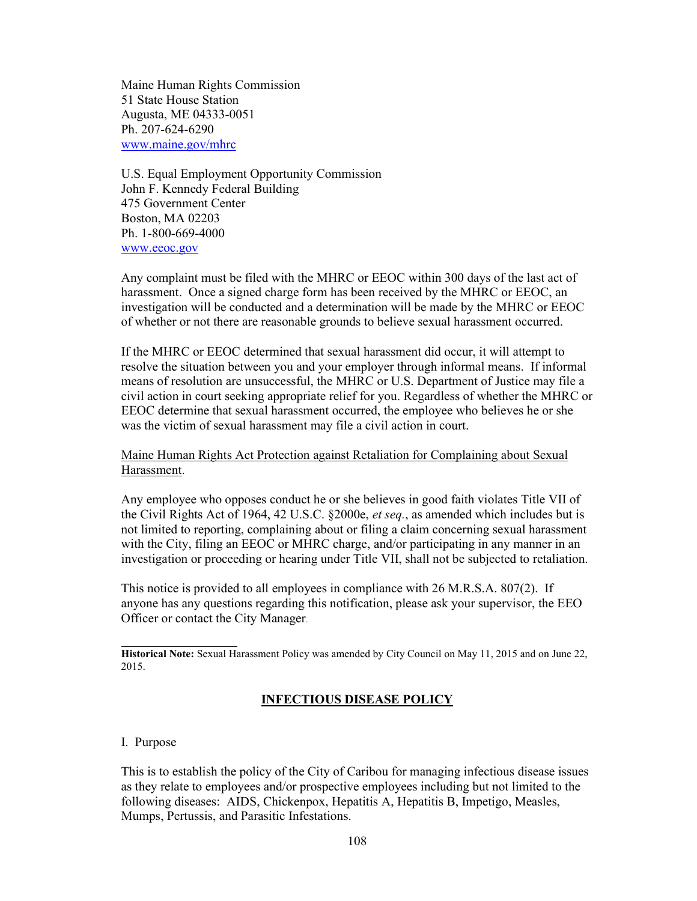Maine Human Rights Commission 51 State House Station Augusta, ME 04333-0051 Ph. 207-624-6290 www.maine.gov/mhrc

U.S. Equal Employment Opportunity Commission John F. Kennedy Federal Building 475 Government Center Boston, MA 02203 Ph. 1-800-669-4000 www.eeoc.gov

Any complaint must be filed with the MHRC or EEOC within 300 days of the last act of harassment. Once a signed charge form has been received by the MHRC or EEOC, an investigation will be conducted and a determination will be made by the MHRC or EEOC of whether or not there are reasonable grounds to believe sexual harassment occurred.

If the MHRC or EEOC determined that sexual harassment did occur, it will attempt to resolve the situation between you and your employer through informal means. If informal means of resolution are unsuccessful, the MHRC or U.S. Department of Justice may file a civil action in court seeking appropriate relief for you. Regardless of whether the MHRC or EEOC determine that sexual harassment occurred, the employee who believes he or she was the victim of sexual harassment may file a civil action in court.

Maine Human Rights Act Protection against Retaliation for Complaining about Sexual Harassment.

Any employee who opposes conduct he or she believes in good faith violates Title VII of the Civil Rights Act of 1964, 42 U.S.C. §2000e, et seq., as amended which includes but is not limited to reporting, complaining about or filing a claim concerning sexual harassment with the City, filing an EEOC or MHRC charge, and/or participating in any manner in an investigation or proceeding or hearing under Title VII, shall not be subjected to retaliation.

This notice is provided to all employees in compliance with 26 M.R.S.A. 807(2). If anyone has any questions regarding this notification, please ask your supervisor, the EEO Officer or contact the City Manager.

Historical Note: Sexual Harassment Policy was amended by City Council on May 11, 2015 and on June 22, 2015.

# INFECTIOUS DISEASE POLICY

#### I. Purpose

 $\overline{a}$ 

This is to establish the policy of the City of Caribou for managing infectious disease issues as they relate to employees and/or prospective employees including but not limited to the following diseases: AIDS, Chickenpox, Hepatitis A, Hepatitis B, Impetigo, Measles, Mumps, Pertussis, and Parasitic Infestations.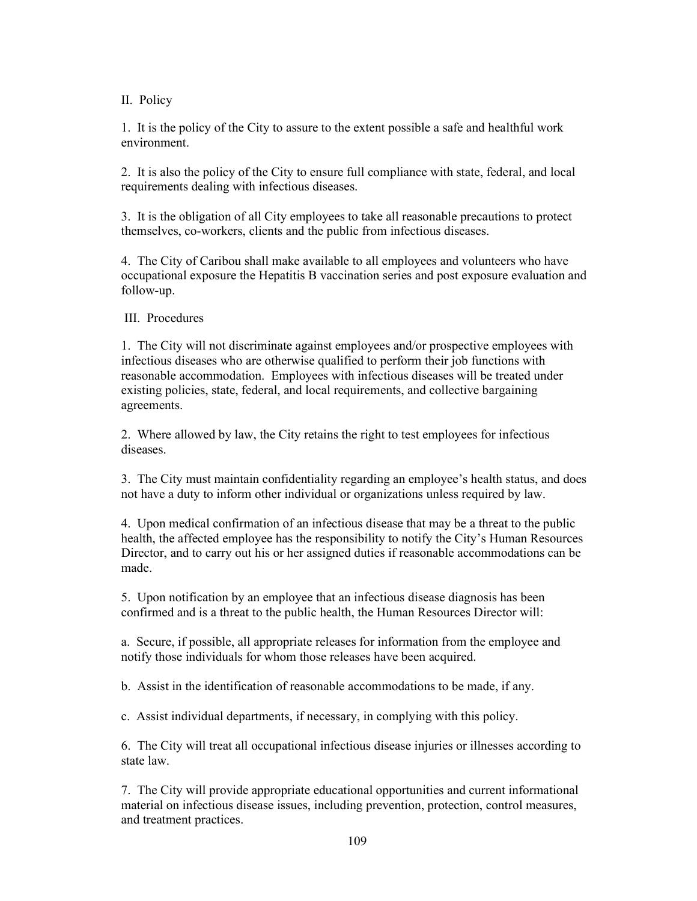II. Policy

1. It is the policy of the City to assure to the extent possible a safe and healthful work environment.

2. It is also the policy of the City to ensure full compliance with state, federal, and local requirements dealing with infectious diseases.

3. It is the obligation of all City employees to take all reasonable precautions to protect themselves, co-workers, clients and the public from infectious diseases.

4. The City of Caribou shall make available to all employees and volunteers who have occupational exposure the Hepatitis B vaccination series and post exposure evaluation and follow-up.

III. Procedures

1. The City will not discriminate against employees and/or prospective employees with infectious diseases who are otherwise qualified to perform their job functions with reasonable accommodation. Employees with infectious diseases will be treated under existing policies, state, federal, and local requirements, and collective bargaining agreements.

2. Where allowed by law, the City retains the right to test employees for infectious diseases.

3. The City must maintain confidentiality regarding an employee's health status, and does not have a duty to inform other individual or organizations unless required by law.

4. Upon medical confirmation of an infectious disease that may be a threat to the public health, the affected employee has the responsibility to notify the City's Human Resources Director, and to carry out his or her assigned duties if reasonable accommodations can be made.

5. Upon notification by an employee that an infectious disease diagnosis has been confirmed and is a threat to the public health, the Human Resources Director will:

a. Secure, if possible, all appropriate releases for information from the employee and notify those individuals for whom those releases have been acquired.

b. Assist in the identification of reasonable accommodations to be made, if any.

c. Assist individual departments, if necessary, in complying with this policy.

6. The City will treat all occupational infectious disease injuries or illnesses according to state law.

7. The City will provide appropriate educational opportunities and current informational material on infectious disease issues, including prevention, protection, control measures, and treatment practices.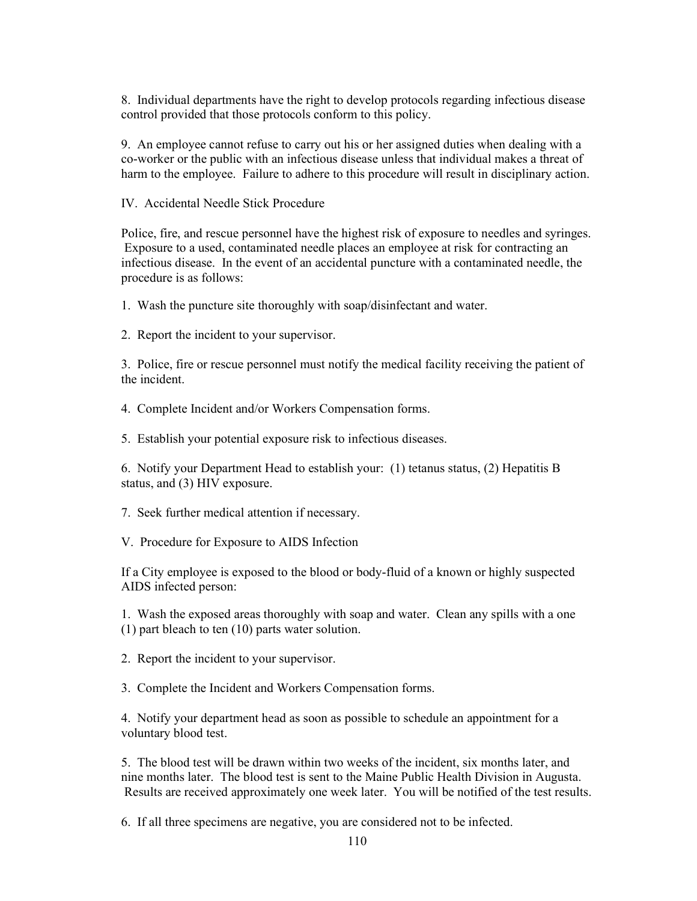8. Individual departments have the right to develop protocols regarding infectious disease control provided that those protocols conform to this policy.

9. An employee cannot refuse to carry out his or her assigned duties when dealing with a co-worker or the public with an infectious disease unless that individual makes a threat of harm to the employee. Failure to adhere to this procedure will result in disciplinary action.

IV. Accidental Needle Stick Procedure

Police, fire, and rescue personnel have the highest risk of exposure to needles and syringes. Exposure to a used, contaminated needle places an employee at risk for contracting an infectious disease. In the event of an accidental puncture with a contaminated needle, the procedure is as follows:

1. Wash the puncture site thoroughly with soap/disinfectant and water.

2. Report the incident to your supervisor.

3. Police, fire or rescue personnel must notify the medical facility receiving the patient of the incident.

4. Complete Incident and/or Workers Compensation forms.

5. Establish your potential exposure risk to infectious diseases.

6. Notify your Department Head to establish your: (1) tetanus status, (2) Hepatitis B status, and (3) HIV exposure.

7. Seek further medical attention if necessary.

V. Procedure for Exposure to AIDS Infection

If a City employee is exposed to the blood or body-fluid of a known or highly suspected AIDS infected person:

1. Wash the exposed areas thoroughly with soap and water. Clean any spills with a one (1) part bleach to ten (10) parts water solution.

2. Report the incident to your supervisor.

3. Complete the Incident and Workers Compensation forms.

4. Notify your department head as soon as possible to schedule an appointment for a voluntary blood test.

5. The blood test will be drawn within two weeks of the incident, six months later, and nine months later. The blood test is sent to the Maine Public Health Division in Augusta. Results are received approximately one week later. You will be notified of the test results.

6. If all three specimens are negative, you are considered not to be infected.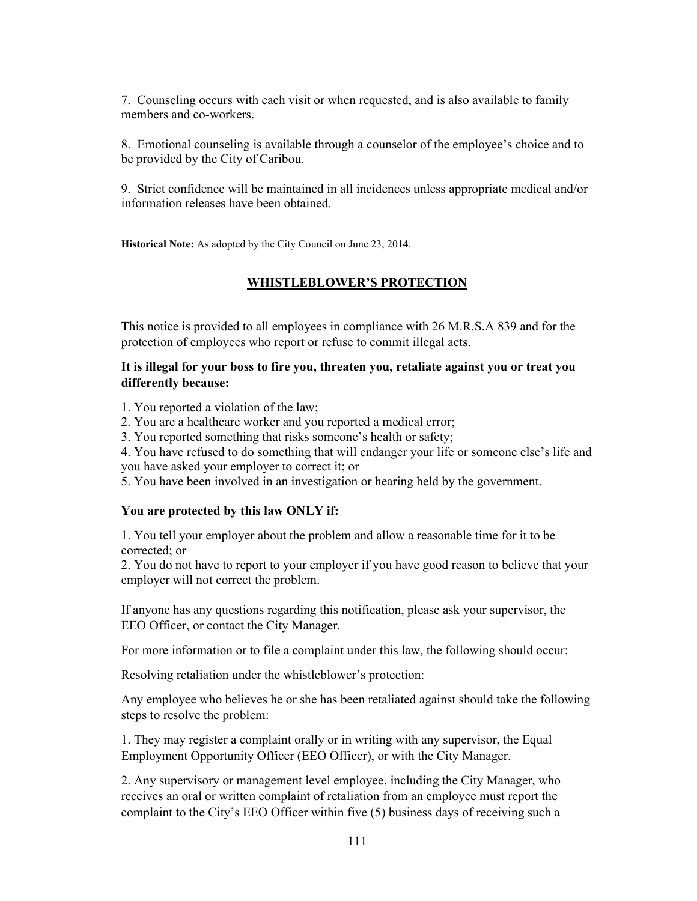7. Counseling occurs with each visit or when requested, and is also available to family members and co-workers.

8. Emotional counseling is available through a counselor of the employee's choice and to be provided by the City of Caribou.

9. Strict confidence will be maintained in all incidences unless appropriate medical and/or information releases have been obtained.

 $\overline{a}$ Historical Note: As adopted by the City Council on June 23, 2014.

#### WHISTLEBLOWER'S PROTECTION

This notice is provided to all employees in compliance with 26 M.R.S.A 839 and for the protection of employees who report or refuse to commit illegal acts.

## It is illegal for your boss to fire you, threaten you, retaliate against you or treat you differently because:

1. You reported a violation of the law;

2. You are a healthcare worker and you reported a medical error;

3. You reported something that risks someone's health or safety;

4. You have refused to do something that will endanger your life or someone else's life and you have asked your employer to correct it; or

5. You have been involved in an investigation or hearing held by the government.

#### You are protected by this law ONLY if:

1. You tell your employer about the problem and allow a reasonable time for it to be corrected; or

2. You do not have to report to your employer if you have good reason to believe that your employer will not correct the problem.

If anyone has any questions regarding this notification, please ask your supervisor, the EEO Officer, or contact the City Manager.

For more information or to file a complaint under this law, the following should occur:

Resolving retaliation under the whistleblower's protection:

Any employee who believes he or she has been retaliated against should take the following steps to resolve the problem:

1. They may register a complaint orally or in writing with any supervisor, the Equal Employment Opportunity Officer (EEO Officer), or with the City Manager.

2. Any supervisory or management level employee, including the City Manager, who receives an oral or written complaint of retaliation from an employee must report the complaint to the City's EEO Officer within five (5) business days of receiving such a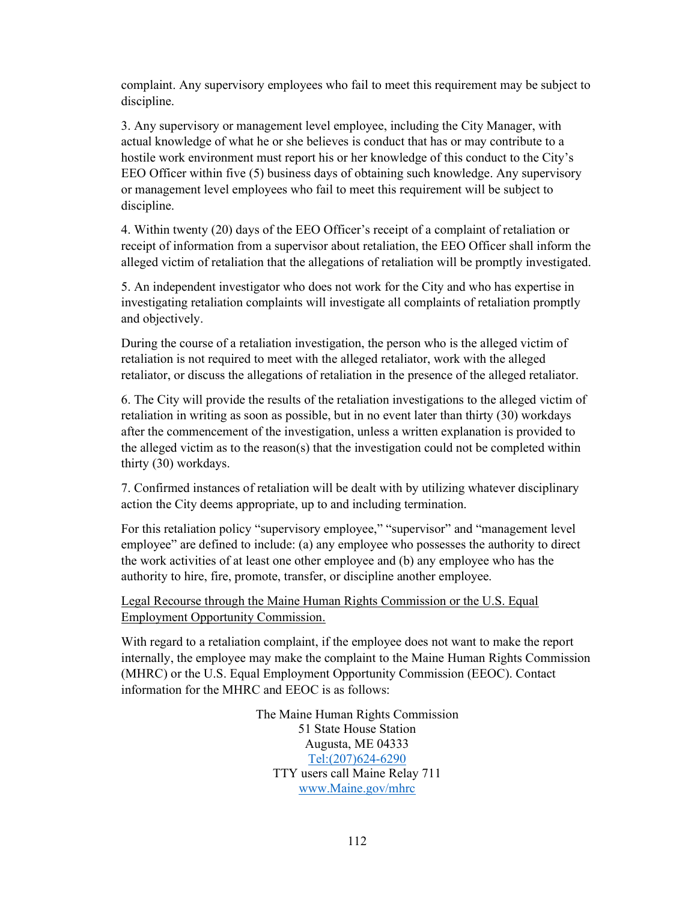complaint. Any supervisory employees who fail to meet this requirement may be subject to discipline.

3. Any supervisory or management level employee, including the City Manager, with actual knowledge of what he or she believes is conduct that has or may contribute to a hostile work environment must report his or her knowledge of this conduct to the City's EEO Officer within five (5) business days of obtaining such knowledge. Any supervisory or management level employees who fail to meet this requirement will be subject to discipline.

4. Within twenty (20) days of the EEO Officer's receipt of a complaint of retaliation or receipt of information from a supervisor about retaliation, the EEO Officer shall inform the alleged victim of retaliation that the allegations of retaliation will be promptly investigated.

5. An independent investigator who does not work for the City and who has expertise in investigating retaliation complaints will investigate all complaints of retaliation promptly and objectively.

During the course of a retaliation investigation, the person who is the alleged victim of retaliation is not required to meet with the alleged retaliator, work with the alleged retaliator, or discuss the allegations of retaliation in the presence of the alleged retaliator.

6. The City will provide the results of the retaliation investigations to the alleged victim of retaliation in writing as soon as possible, but in no event later than thirty (30) workdays after the commencement of the investigation, unless a written explanation is provided to the alleged victim as to the reason(s) that the investigation could not be completed within thirty (30) workdays.

7. Confirmed instances of retaliation will be dealt with by utilizing whatever disciplinary action the City deems appropriate, up to and including termination.

For this retaliation policy "supervisory employee," "supervisor" and "management level employee" are defined to include: (a) any employee who possesses the authority to direct the work activities of at least one other employee and (b) any employee who has the authority to hire, fire, promote, transfer, or discipline another employee.

Legal Recourse through the Maine Human Rights Commission or the U.S. Equal Employment Opportunity Commission.

With regard to a retaliation complaint, if the employee does not want to make the report internally, the employee may make the complaint to the Maine Human Rights Commission (MHRC) or the U.S. Equal Employment Opportunity Commission (EEOC). Contact information for the MHRC and EEOC is as follows:

> The Maine Human Rights Commission 51 State House Station Augusta, ME 04333 Tel:(207)624-6290 TTY users call Maine Relay 711 www.Maine.gov/mhrc